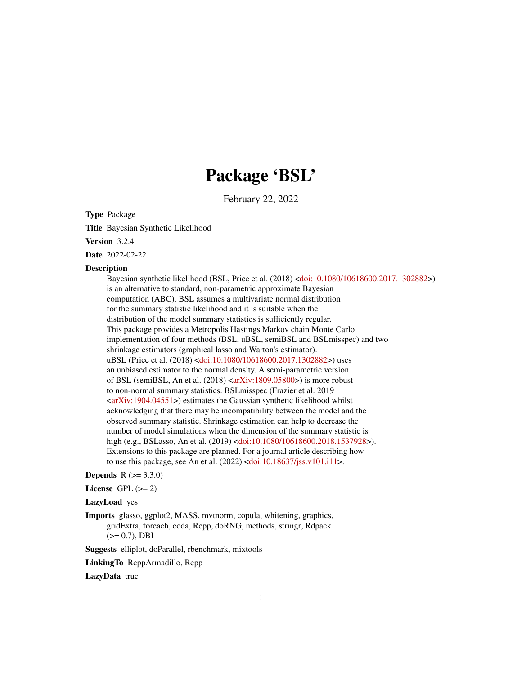# Package 'BSL'

February 22, 2022

<span id="page-0-0"></span>Type Package

Title Bayesian Synthetic Likelihood

Version 3.2.4

Date 2022-02-22

#### **Description**

Bayesian synthetic likelihood (BSL, Price et al. (2018) [<doi:10.1080/10618600.2017.1302882>](https://doi.org/10.1080/10618600.2017.1302882)) is an alternative to standard, non-parametric approximate Bayesian computation (ABC). BSL assumes a multivariate normal distribution for the summary statistic likelihood and it is suitable when the distribution of the model summary statistics is sufficiently regular. This package provides a Metropolis Hastings Markov chain Monte Carlo implementation of four methods (BSL, uBSL, semiBSL and BSLmisspec) and two shrinkage estimators (graphical lasso and Warton's estimator). uBSL (Price et al. (2018) [<doi:10.1080/10618600.2017.1302882>](https://doi.org/10.1080/10618600.2017.1302882)) uses an unbiased estimator to the normal density. A semi-parametric version of BSL (semiBSL, An et al.  $(2018) \leq a rXiv:1809.05800$ ) is more robust to non-normal summary statistics. BSLmisspec (Frazier et al. 2019  $\langle \text{arXiv:1904.04551}\rangle$  estimates the Gaussian synthetic likelihood whilst acknowledging that there may be incompatibility between the model and the observed summary statistic. Shrinkage estimation can help to decrease the number of model simulations when the dimension of the summary statistic is high (e.g., BSLasso, An et al. (2019) [<doi:10.1080/10618600.2018.1537928>](https://doi.org/10.1080/10618600.2018.1537928)). Extensions to this package are planned. For a journal article describing how to use this package, see An et al. (2022) [<doi:10.18637/jss.v101.i11>](https://doi.org/10.18637/jss.v101.i11).

# **Depends**  $R (= 3.3.0)$

License GPL  $(>= 2)$ 

#### LazyLoad yes

Imports glasso, ggplot2, MASS, mvtnorm, copula, whitening, graphics, gridExtra, foreach, coda, Rcpp, doRNG, methods, stringr, Rdpack  $(>= 0.7)$ , DBI

Suggests elliplot, doParallel, rbenchmark, mixtools

LinkingTo RcppArmadillo, Rcpp

LazyData true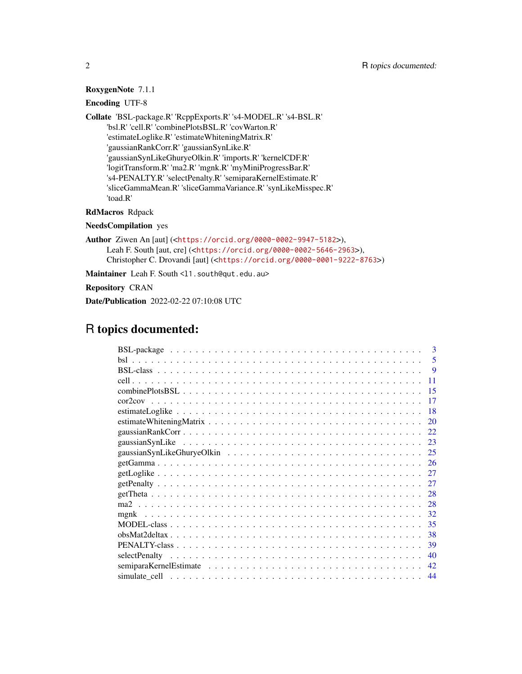# RoxygenNote 7.1.1

# Encoding UTF-8

Collate 'BSL-package.R' 'RcppExports.R' 's4-MODEL.R' 's4-BSL.R' 'bsl.R' 'cell.R' 'combinePlotsBSL.R' 'covWarton.R' 'estimateLoglike.R' 'estimateWhiteningMatrix.R' 'gaussianRankCorr.R' 'gaussianSynLike.R' 'gaussianSynLikeGhuryeOlkin.R' 'imports.R' 'kernelCDF.R' 'logitTransform.R' 'ma2.R' 'mgnk.R' 'myMiniProgressBar.R' 's4-PENALTY.R' 'selectPenalty.R' 'semiparaKernelEstimate.R' 'sliceGammaMean.R' 'sliceGammaVariance.R' 'synLikeMisspec.R' 'toad.R'

RdMacros Rdpack

NeedsCompilation yes

Author Ziwen An [aut] (<<https://orcid.org/0000-0002-9947-5182>>), Leah F. South [aut, cre] (<<https://orcid.org/0000-0002-5646-2963>>), Christopher C. Drovandi [aut] (<<https://orcid.org/0000-0001-9222-8763>>)

Maintainer Leah F. South <11. south@qut.edu.au>

Repository CRAN

Date/Publication 2022-02-22 07:10:08 UTC

# R topics documented:

|               | $\mathbf{3}$ |
|---------------|--------------|
|               | .5           |
|               | <b>9</b>     |
|               | 11           |
|               | 15           |
|               | 17           |
|               | 18           |
|               | 20           |
|               | 22.          |
|               | 23           |
|               | 25           |
|               | 26           |
|               | 27           |
|               | 27           |
|               | 28           |
|               | 28           |
|               | 32           |
|               | 35           |
|               | 38           |
|               | 39           |
| selectPenalty | 40           |
|               | 42           |
|               | 44           |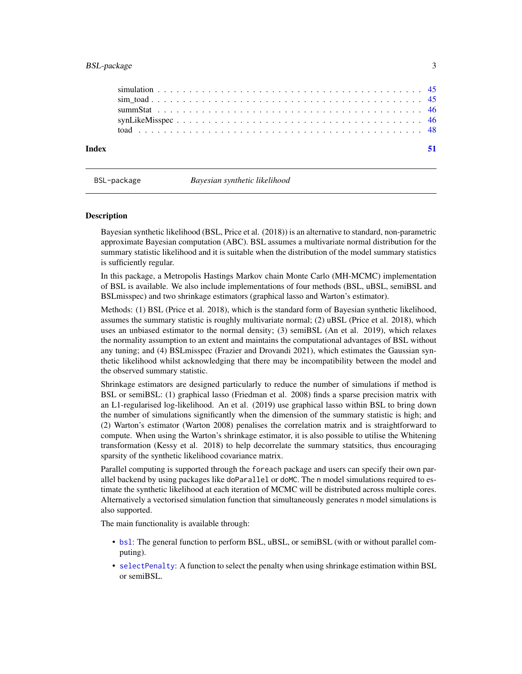<span id="page-2-0"></span>

BSL-package *Bayesian synthetic likelihood*

#### <span id="page-2-1"></span>Description

Bayesian synthetic likelihood (BSL, Price et al. (2018)) is an alternative to standard, non-parametric approximate Bayesian computation (ABC). BSL assumes a multivariate normal distribution for the summary statistic likelihood and it is suitable when the distribution of the model summary statistics is sufficiently regular.

In this package, a Metropolis Hastings Markov chain Monte Carlo (MH-MCMC) implementation of BSL is available. We also include implementations of four methods (BSL, uBSL, semiBSL and BSLmisspec) and two shrinkage estimators (graphical lasso and Warton's estimator).

Methods: (1) BSL (Price et al. 2018), which is the standard form of Bayesian synthetic likelihood, assumes the summary statistic is roughly multivariate normal; (2) uBSL (Price et al. 2018), which uses an unbiased estimator to the normal density; (3) semiBSL (An et al. 2019), which relaxes the normality assumption to an extent and maintains the computational advantages of BSL without any tuning; and (4) BSLmisspec (Frazier and Drovandi 2021), which estimates the Gaussian synthetic likelihood whilst acknowledging that there may be incompatibility between the model and the observed summary statistic.

Shrinkage estimators are designed particularly to reduce the number of simulations if method is BSL or semiBSL: (1) graphical lasso (Friedman et al. 2008) finds a sparse precision matrix with an L1-regularised log-likelihood. An et al. (2019) use graphical lasso within BSL to bring down the number of simulations significantly when the dimension of the summary statistic is high; and (2) Warton's estimator (Warton 2008) penalises the correlation matrix and is straightforward to compute. When using the Warton's shrinkage estimator, it is also possible to utilise the Whitening transformation (Kessy et al. 2018) to help decorrelate the summary statsitics, thus encouraging sparsity of the synthetic likelihood covariance matrix.

Parallel computing is supported through the foreach package and users can specify their own parallel backend by using packages like doParallel or doMC. The n model simulations required to estimate the synthetic likelihood at each iteration of MCMC will be distributed across multiple cores. Alternatively a vectorised simulation function that simultaneously generates n model simulations is also supported.

The main functionality is available through:

- [bsl](#page-4-1): The general function to perform BSL, uBSL, or semiBSL (with or without parallel computing).
- [selectPenalty](#page-39-1): A function to select the penalty when using shrinkage estimation within BSL or semiBSL.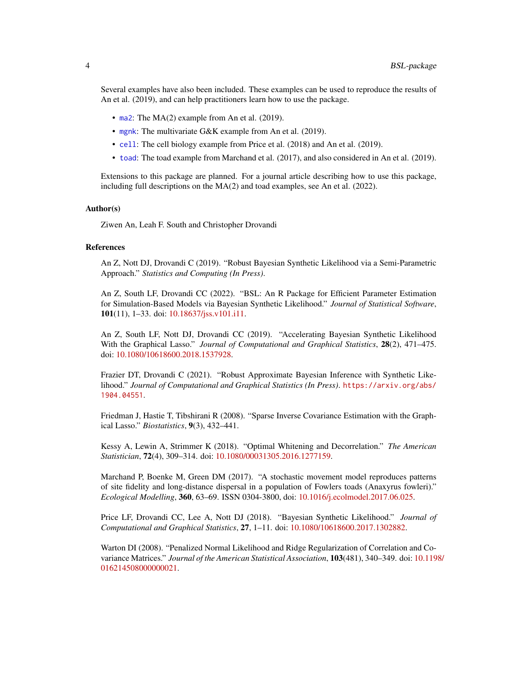<span id="page-3-0"></span>Several examples have also been included. These examples can be used to reproduce the results of An et al. (2019), and can help practitioners learn how to use the package.

- [ma2](#page-27-1): The MA(2) example from An et al. (2019).
- [mgnk](#page-31-1): The multivariate G&K example from An et al. (2019).
- [cell](#page-10-1): The cell biology example from Price et al. (2018) and An et al. (2019).
- [toad](#page-47-1): The toad example from Marchand et al. (2017), and also considered in An et al. (2019).

Extensions to this package are planned. For a journal article describing how to use this package, including full descriptions on the MA(2) and toad examples, see An et al. (2022).

#### Author(s)

Ziwen An, Leah F. South and Christopher Drovandi

#### References

An Z, Nott DJ, Drovandi C (2019). "Robust Bayesian Synthetic Likelihood via a Semi-Parametric Approach." *Statistics and Computing (In Press)*.

An Z, South LF, Drovandi CC (2022). "BSL: An R Package for Efficient Parameter Estimation for Simulation-Based Models via Bayesian Synthetic Likelihood." *Journal of Statistical Software*, 101(11), 1–33. doi: [10.18637/jss.v101.i11.](https://doi.org/10.18637/jss.v101.i11)

An Z, South LF, Nott DJ, Drovandi CC (2019). "Accelerating Bayesian Synthetic Likelihood With the Graphical Lasso." *Journal of Computational and Graphical Statistics*, 28(2), 471–475. doi: [10.1080/10618600.2018.1537928.](https://doi.org/10.1080/10618600.2018.1537928)

Frazier DT, Drovandi C (2021). "Robust Approximate Bayesian Inference with Synthetic Likelihood." *Journal of Computational and Graphical Statistics (In Press)*. [https://arxiv.org/abs/](https://arxiv.org/abs/1904.04551) [1904.04551](https://arxiv.org/abs/1904.04551).

Friedman J, Hastie T, Tibshirani R (2008). "Sparse Inverse Covariance Estimation with the Graphical Lasso." *Biostatistics*, 9(3), 432–441.

Kessy A, Lewin A, Strimmer K (2018). "Optimal Whitening and Decorrelation." *The American Statistician*, 72(4), 309–314. doi: [10.1080/00031305.2016.1277159.](https://doi.org/10.1080/00031305.2016.1277159)

Marchand P, Boenke M, Green DM (2017). "A stochastic movement model reproduces patterns of site fidelity and long-distance dispersal in a population of Fowlers toads (Anaxyrus fowleri)." *Ecological Modelling*, 360, 63–69. ISSN 0304-3800, doi: [10.1016/j.ecolmodel.2017.06.025.](https://doi.org/10.1016/j.ecolmodel.2017.06.025)

Price LF, Drovandi CC, Lee A, Nott DJ (2018). "Bayesian Synthetic Likelihood." *Journal of Computational and Graphical Statistics*, 27, 1–11. doi: [10.1080/10618600.2017.1302882.](https://doi.org/10.1080/10618600.2017.1302882)

Warton DI (2008). "Penalized Normal Likelihood and Ridge Regularization of Correlation and Covariance Matrices." *Journal of the American Statistical Association*, 103(481), 340–349. doi: [10.119](https://doi.org/10.1198/016214508000000021)8/ [016214508000000021.](https://doi.org/10.1198/016214508000000021)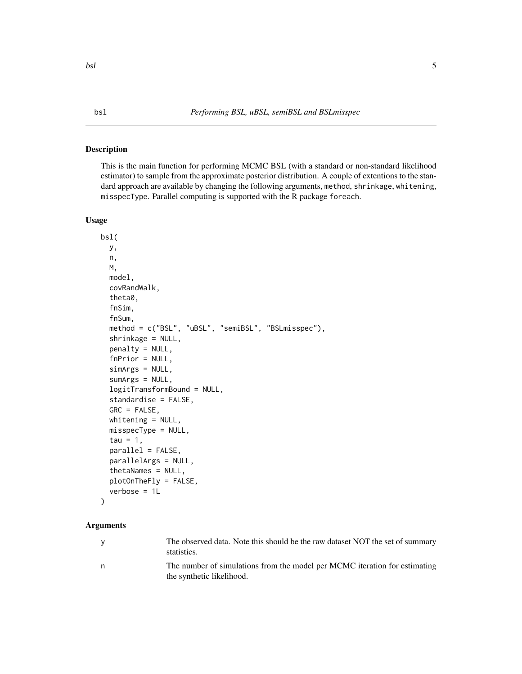# <span id="page-4-1"></span><span id="page-4-0"></span>Description

This is the main function for performing MCMC BSL (with a standard or non-standard likelihood estimator) to sample from the approximate posterior distribution. A couple of extentions to the standard approach are available by changing the following arguments, method, shrinkage, whitening, misspecType. Parallel computing is supported with the R package foreach.

# Usage

```
bsl(
  y,
  n,
 M,
  model,
  covRandWalk,
  theta0,
  fnSim,
  fnSum,
  method = c("BSL", "uBSL", "semiBSL", "BSLmisspec"),
  shrinkage = NULL,
  penalty = NULL,
  fnPrior = NULL,
  simArgs = NULL,
  sumArgs = NULL,
  logitTransformBound = NULL,
  standardise = FALSE,
  GRC = FALSE,
  whitening = NULL,
  misspecType = NULL,
  tau = 1,
  parallel = FALSE,
  parallelArgs = NULL,
  thetaNames = NULL,
  plotOnTheFly = FALSE,
  verbose = 1L
```

```
)
```
# **Arguments**

| $\vee$ | The observed data. Note this should be the raw dataset NOT the set of summary<br>statistics.            |
|--------|---------------------------------------------------------------------------------------------------------|
| n.     | The number of simulations from the model per MCMC iteration for estimating<br>the synthetic likelihood. |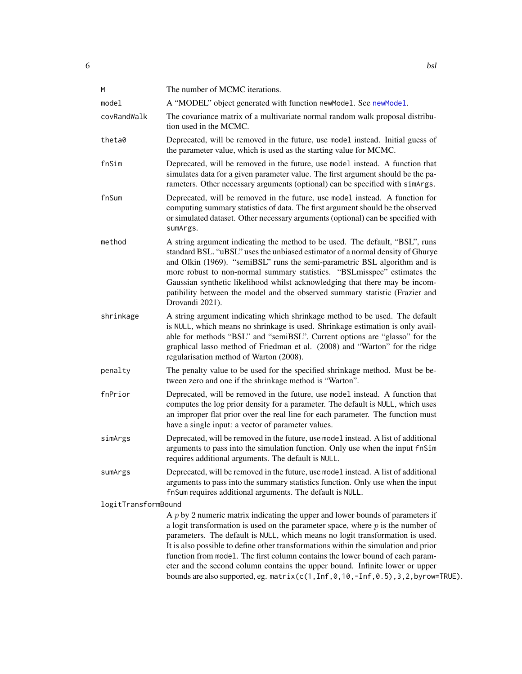<span id="page-5-0"></span>

| M                   | The number of MCMC iterations.                                                                                                                                                                                                                                                                                                                                                                                                                                                                                                                                                                          |
|---------------------|---------------------------------------------------------------------------------------------------------------------------------------------------------------------------------------------------------------------------------------------------------------------------------------------------------------------------------------------------------------------------------------------------------------------------------------------------------------------------------------------------------------------------------------------------------------------------------------------------------|
| model               | A "MODEL" object generated with function newModel. See newModel.                                                                                                                                                                                                                                                                                                                                                                                                                                                                                                                                        |
| covRandWalk         | The covariance matrix of a multivariate normal random walk proposal distribu-<br>tion used in the MCMC.                                                                                                                                                                                                                                                                                                                                                                                                                                                                                                 |
| theta0              | Deprecated, will be removed in the future, use model instead. Initial guess of<br>the parameter value, which is used as the starting value for MCMC.                                                                                                                                                                                                                                                                                                                                                                                                                                                    |
| fnSim               | Deprecated, will be removed in the future, use model instead. A function that<br>simulates data for a given parameter value. The first argument should be the pa-<br>rameters. Other necessary arguments (optional) can be specified with simArgs.                                                                                                                                                                                                                                                                                                                                                      |
| fnSum               | Deprecated, will be removed in the future, use model instead. A function for<br>computing summary statistics of data. The first argument should be the observed<br>or simulated dataset. Other necessary arguments (optional) can be specified with<br>sumArgs.                                                                                                                                                                                                                                                                                                                                         |
| method              | A string argument indicating the method to be used. The default, "BSL", runs<br>standard BSL. "uBSL" uses the unbiased estimator of a normal density of Ghurye<br>and Olkin (1969). "semiBSL" runs the semi-parametric BSL algorithm and is<br>more robust to non-normal summary statistics. "BSLmisspec" estimates the<br>Gaussian synthetic likelihood whilst acknowledging that there may be incom-<br>patibility between the model and the observed summary statistic (Frazier and<br>Drovandi 2021).                                                                                               |
| shrinkage           | A string argument indicating which shrinkage method to be used. The default<br>is NULL, which means no shrinkage is used. Shrinkage estimation is only avail-<br>able for methods "BSL" and "semiBSL". Current options are "glasso" for the<br>graphical lasso method of Friedman et al. (2008) and "Warton" for the ridge<br>regularisation method of Warton (2008).                                                                                                                                                                                                                                   |
| penalty             | The penalty value to be used for the specified shrinkage method. Must be be-<br>tween zero and one if the shrinkage method is "Warton".                                                                                                                                                                                                                                                                                                                                                                                                                                                                 |
| fnPrior             | Deprecated, will be removed in the future, use model instead. A function that<br>computes the log prior density for a parameter. The default is NULL, which uses<br>an improper flat prior over the real line for each parameter. The function must<br>have a single input: a vector of parameter values.                                                                                                                                                                                                                                                                                               |
| simArgs             | Deprecated, will be removed in the future, use model instead. A list of additional<br>arguments to pass into the simulation function. Only use when the input fnSim<br>requires additional arguments. The default is NULL.                                                                                                                                                                                                                                                                                                                                                                              |
| sumArgs             | Deprecated, will be removed in the future, use model instead. A list of additional<br>arguments to pass into the summary statistics function. Only use when the input<br>fnSum requires additional arguments. The default is NULL.                                                                                                                                                                                                                                                                                                                                                                      |
| logitTransformBound |                                                                                                                                                                                                                                                                                                                                                                                                                                                                                                                                                                                                         |
|                     | A $p$ by 2 numeric matrix indicating the upper and lower bounds of parameters if<br>a logit transformation is used on the parameter space, where $p$ is the number of<br>parameters. The default is NULL, which means no logit transformation is used.<br>It is also possible to define other transformations within the simulation and prior<br>function from model. The first column contains the lower bound of each param-<br>eter and the second column contains the upper bound. Infinite lower or upper<br>bounds are also supported, eg. matrix(c(1, Inf, 0, 10, -Inf, 0.5), 3, 2, byrow=TRUE). |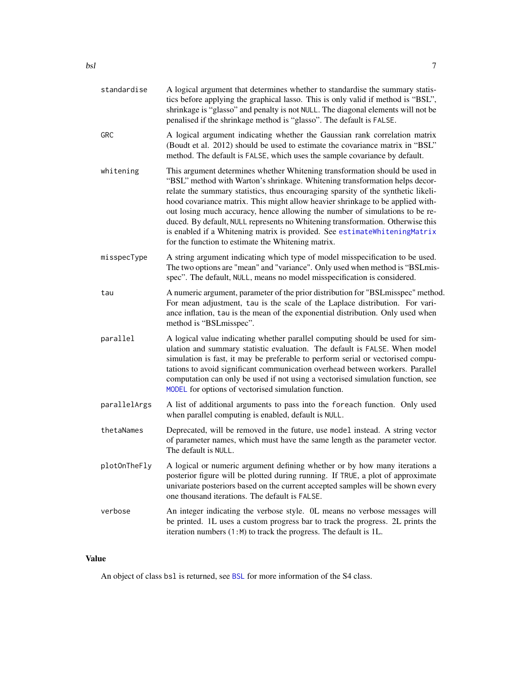<span id="page-6-0"></span>

| standardise  | A logical argument that determines whether to standardise the summary statis-<br>tics before applying the graphical lasso. This is only valid if method is "BSL",<br>shrinkage is "glasso" and penalty is not NULL. The diagonal elements will not be<br>penalised if the shrinkage method is "glasso". The default is FALSE.                                                                                                                                                                                                                                                                                                          |
|--------------|----------------------------------------------------------------------------------------------------------------------------------------------------------------------------------------------------------------------------------------------------------------------------------------------------------------------------------------------------------------------------------------------------------------------------------------------------------------------------------------------------------------------------------------------------------------------------------------------------------------------------------------|
| GRC          | A logical argument indicating whether the Gaussian rank correlation matrix<br>(Boudt et al. 2012) should be used to estimate the covariance matrix in "BSL"<br>method. The default is FALSE, which uses the sample covariance by default.                                                                                                                                                                                                                                                                                                                                                                                              |
| whitening    | This argument determines whether Whitening transformation should be used in<br>"BSL" method with Warton's shrinkage. Whitening transformation helps decor-<br>relate the summary statistics, thus encouraging sparsity of the synthetic likeli-<br>hood covariance matrix. This might allow heavier shrinkage to be applied with-<br>out losing much accuracy, hence allowing the number of simulations to be re-<br>duced. By default, NULL represents no Whitening transformation. Otherwise this<br>is enabled if a Whitening matrix is provided. See estimateWhiteningMatrix<br>for the function to estimate the Whitening matrix. |
| misspecType  | A string argument indicating which type of model misspecification to be used.<br>The two options are "mean" and "variance". Only used when method is "BSLmis-<br>spec". The default, NULL, means no model misspecification is considered.                                                                                                                                                                                                                                                                                                                                                                                              |
| tau          | A numeric argument, parameter of the prior distribution for "BSL misspec" method.<br>For mean adjustment, tau is the scale of the Laplace distribution. For vari-<br>ance inflation, tau is the mean of the exponential distribution. Only used when<br>method is "BSLmisspec".                                                                                                                                                                                                                                                                                                                                                        |
| parallel     | A logical value indicating whether parallel computing should be used for sim-<br>ulation and summary statistic evaluation. The default is FALSE. When model<br>simulation is fast, it may be preferable to perform serial or vectorised compu-<br>tations to avoid significant communication overhead between workers. Parallel<br>computation can only be used if not using a vectorised simulation function, see<br>MODEL for options of vectorised simulation function.                                                                                                                                                             |
| parallelArgs | A list of additional arguments to pass into the foreach function. Only used<br>when parallel computing is enabled, default is NULL.                                                                                                                                                                                                                                                                                                                                                                                                                                                                                                    |
| thetaNames   | Deprecated, will be removed in the future, use model instead. A string vector<br>of parameter names, which must have the same length as the parameter vector.<br>The default is NULL.                                                                                                                                                                                                                                                                                                                                                                                                                                                  |
| plotOnTheFly | A logical or numeric argument defining whether or by how many iterations a<br>posterior figure will be plotted during running. If TRUE, a plot of approximate<br>univariate posteriors based on the current accepted samples will be shown every<br>one thousand iterations. The default is FALSE.                                                                                                                                                                                                                                                                                                                                     |
| verbose      | An integer indicating the verbose style. OL means no verbose messages will<br>be printed. 1L uses a custom progress bar to track the progress. 2L prints the<br>iteration numbers (1:M) to track the progress. The default is 1L.                                                                                                                                                                                                                                                                                                                                                                                                      |

# Value

An object of class bsl is returned, see [BSL](#page-2-1) for more information of the S4 class.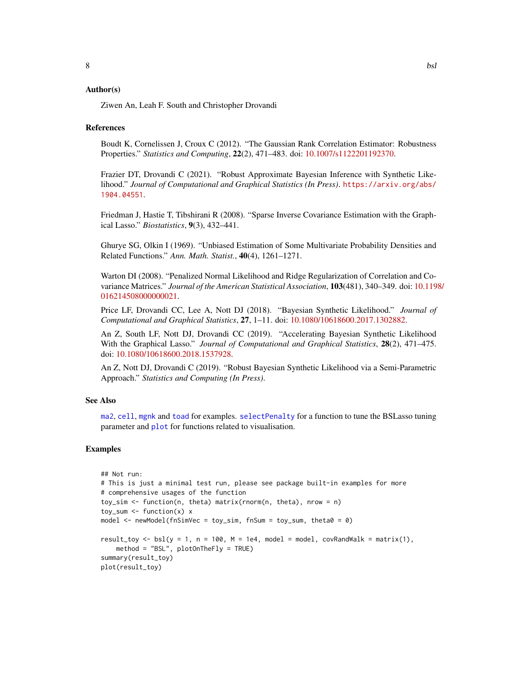# <span id="page-7-0"></span>Author(s)

Ziwen An, Leah F. South and Christopher Drovandi

#### References

Boudt K, Cornelissen J, Croux C (2012). "The Gaussian Rank Correlation Estimator: Robustness Properties." *Statistics and Computing*, 22(2), 471–483. doi: [10.1007/s1122201192370.](https://doi.org/10.1007/s11222-011-9237-0)

Frazier DT, Drovandi C (2021). "Robust Approximate Bayesian Inference with Synthetic Likelihood." *Journal of Computational and Graphical Statistics (In Press)*. [https://arxiv.org/abs/](https://arxiv.org/abs/1904.04551) [1904.04551](https://arxiv.org/abs/1904.04551).

Friedman J, Hastie T, Tibshirani R (2008). "Sparse Inverse Covariance Estimation with the Graphical Lasso." *Biostatistics*, 9(3), 432–441.

Ghurye SG, Olkin I (1969). "Unbiased Estimation of Some Multivariate Probability Densities and Related Functions." *Ann. Math. Statist.*, 40(4), 1261–1271.

Warton DI (2008). "Penalized Normal Likelihood and Ridge Regularization of Correlation and Covariance Matrices." *Journal of the American Statistical Association*, 103(481), 340–349. doi: [10.119](https://doi.org/10.1198/016214508000000021)8/ [016214508000000021.](https://doi.org/10.1198/016214508000000021)

Price LF, Drovandi CC, Lee A, Nott DJ (2018). "Bayesian Synthetic Likelihood." *Journal of Computational and Graphical Statistics*, 27, 1–11. doi: [10.1080/10618600.2017.1302882.](https://doi.org/10.1080/10618600.2017.1302882)

An Z, South LF, Nott DJ, Drovandi CC (2019). "Accelerating Bayesian Synthetic Likelihood With the Graphical Lasso." *Journal of Computational and Graphical Statistics*, 28(2), 471–475. doi: [10.1080/10618600.2018.1537928.](https://doi.org/10.1080/10618600.2018.1537928)

An Z, Nott DJ, Drovandi C (2019). "Robust Bayesian Synthetic Likelihood via a Semi-Parametric Approach." *Statistics and Computing (In Press)*.

#### See Also

[ma2](#page-27-1), [cell](#page-10-1), [mgnk](#page-31-1) and [toad](#page-47-1) for examples. [selectPenalty](#page-39-1) for a function to tune the BSLasso tuning parameter and [plot](#page-0-0) for functions related to visualisation.

#### Examples

```
## Not run:
# This is just a minimal test run, please see package built-in examples for more
# comprehensive usages of the function
toy_sim <- function(n, theta) matrix(rnorm(n, theta), nrow = n)
toy_sum \leq function(x) x
model \leq newModel(fnSimVec = toy_sim, fnSum = toy_sum, theta0 = 0)
result_toy <- bsl(y = 1, n = 100, M = 1e4, model = model, covRandWalk = matrix(1),
    method = "BSL", plotOnTheFly = TRUE)
summary(result_toy)
plot(result_toy)
```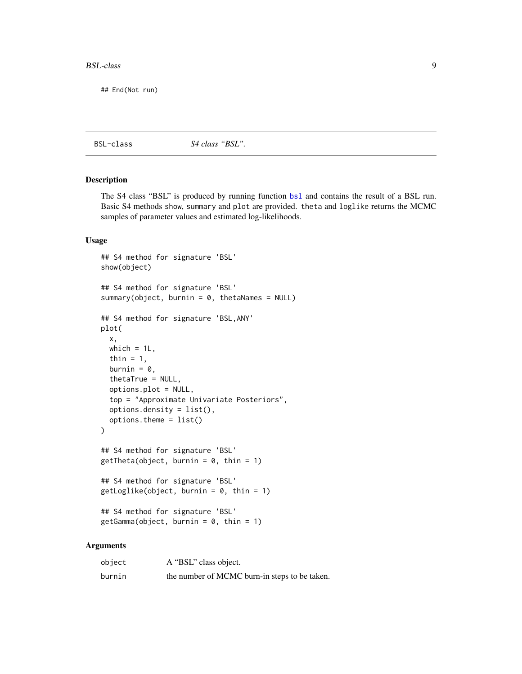#### <span id="page-8-0"></span>BSL-class 9

## End(Not run)

BSL-class *S4 class "BSL".*

#### <span id="page-8-1"></span>Description

The S4 class "BSL" is produced by running function [bsl](#page-4-1) and contains the result of a BSL run. Basic S4 methods show, summary and plot are provided. theta and loglike returns the MCMC samples of parameter values and estimated log-likelihoods.

#### Usage

```
## S4 method for signature 'BSL'
show(object)
## S4 method for signature 'BSL'
summary(object, burnin = 0, thetaNames = NULL)
## S4 method for signature 'BSL,ANY'
plot(
 x,
 which = 1L,
  thin = 1,
 burnin = 0,
  thetaTrue = NULL,
  options.plot = NULL,
  top = "Approximate Univariate Posteriors",
  options.density = list(),
  options.theme = list()
)
## S4 method for signature 'BSL'
getTheta(object, burnin = 0, thin = 1)## S4 method for signature 'BSL'
getLoglike(object, burnin = 0, thin = 1)## S4 method for signature 'BSL'
getGamma(object, burnin = 0, thin = 1)
```
# Arguments

| object | A "BSL" class object.                         |
|--------|-----------------------------------------------|
| burnin | the number of MCMC burn-in steps to be taken. |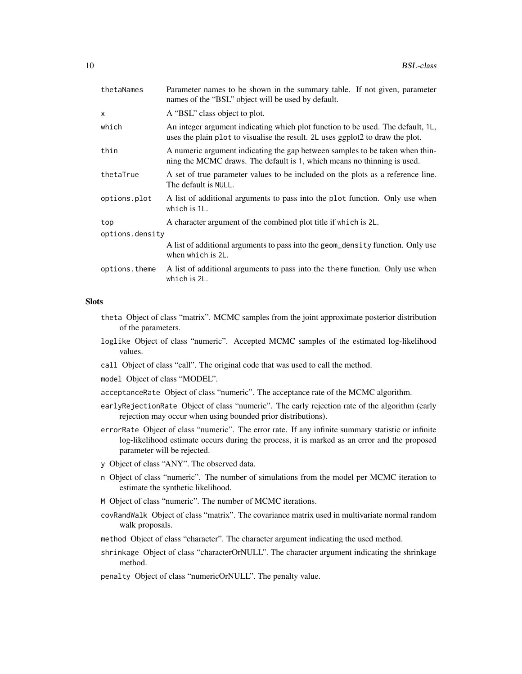| thetaNames      | Parameter names to be shown in the summary table. If not given, parameter<br>names of the "BSL" object will be used by default.                                   |
|-----------------|-------------------------------------------------------------------------------------------------------------------------------------------------------------------|
| $\mathsf{x}$    | A "BSL" class object to plot.                                                                                                                                     |
| which           | An integer argument indicating which plot function to be used. The default, 1L,<br>uses the plain plot to visualise the result. 2L uses ggplot2 to draw the plot. |
| thin            | A numeric argument indicating the gap between samples to be taken when thin-<br>ning the MCMC draws. The default is 1, which means no thinning is used.           |
| thetaTrue       | A set of true parameter values to be included on the plots as a reference line.<br>The default is NULL.                                                           |
| options.plot    | A list of additional arguments to pass into the plot function. Only use when<br>which is 1L.                                                                      |
| top             | A character argument of the combined plot title if which is 2L.                                                                                                   |
| options.density |                                                                                                                                                                   |
|                 | A list of additional arguments to pass into the geom_density function. Only use<br>when which is 2L.                                                              |
| options.theme   | A list of additional arguments to pass into the theme function. Only use when<br>which is 2L.                                                                     |
|                 |                                                                                                                                                                   |

# **Slots**

- theta Object of class "matrix". MCMC samples from the joint approximate posterior distribution of the parameters.
- loglike Object of class "numeric". Accepted MCMC samples of the estimated log-likelihood values.
- call Object of class "call". The original code that was used to call the method.
- model Object of class "MODEL".
- acceptanceRate Object of class "numeric". The acceptance rate of the MCMC algorithm.
- earlyRejectionRate Object of class "numeric". The early rejection rate of the algorithm (early rejection may occur when using bounded prior distributions).
- errorRate Object of class "numeric". The error rate. If any infinite summary statistic or infinite log-likelihood estimate occurs during the process, it is marked as an error and the proposed parameter will be rejected.
- y Object of class "ANY". The observed data.
- n Object of class "numeric". The number of simulations from the model per MCMC iteration to estimate the synthetic likelihood.
- M Object of class "numeric". The number of MCMC iterations.
- covRandWalk Object of class "matrix". The covariance matrix used in multivariate normal random walk proposals.
- method Object of class "character". The character argument indicating the used method.
- shrinkage Object of class "characterOrNULL". The character argument indicating the shrinkage method.
- penalty Object of class "numericOrNULL". The penalty value.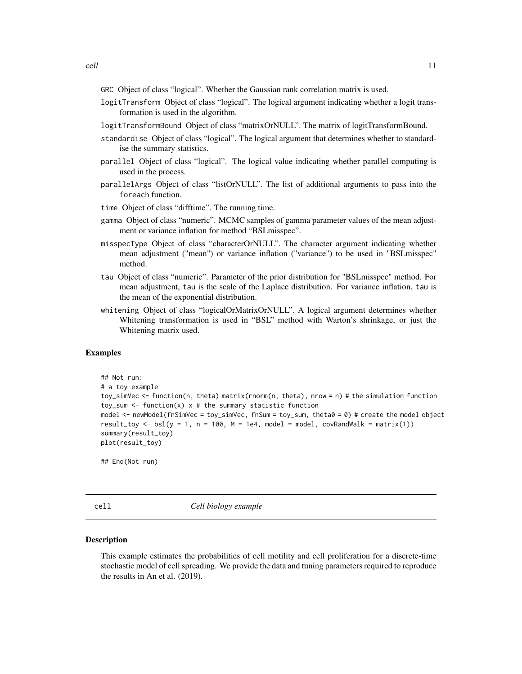- <span id="page-10-0"></span>GRC Object of class "logical". Whether the Gaussian rank correlation matrix is used.
- logitTransform Object of class "logical". The logical argument indicating whether a logit transformation is used in the algorithm.
- logitTransformBound Object of class "matrixOrNULL". The matrix of logitTransformBound.
- standardise Object of class "logical". The logical argument that determines whether to standardise the summary statistics.
- parallel Object of class "logical". The logical value indicating whether parallel computing is used in the process.
- parallelArgs Object of class "listOrNULL". The list of additional arguments to pass into the foreach function.

time Object of class "difftime". The running time.

- gamma Object of class "numeric". MCMC samples of gamma parameter values of the mean adjustment or variance inflation for method "BSLmisspec".
- misspecType Object of class "characterOrNULL". The character argument indicating whether mean adjustment ("mean") or variance inflation ("variance") to be used in "BSLmisspec" method.
- tau Object of class "numeric". Parameter of the prior distribution for "BSLmisspec" method. For mean adjustment, tau is the scale of the Laplace distribution. For variance inflation, tau is the mean of the exponential distribution.
- whitening Object of class "logicalOrMatrixOrNULL". A logical argument determines whether Whitening transformation is used in "BSL" method with Warton's shrinkage, or just the Whitening matrix used.

#### Examples

```
## Not run:
# a toy example
toy_simVec <- function(n, theta) matrix(rnorm(n, theta), nrow = n) # the simulation function
toy_sum <- function(x) x # the summary statistic function
model <- newModel(fnSimVec = toy_simVec, fnSum = toy_sum, theta0 = 0) # create the model object
result_toy <- bsl(y = 1, n = 100, M = 1e4, model = model, covRandWalk = matrix(1))
summary(result_toy)
plot(result_toy)
```
## End(Not run)

<span id="page-10-1"></span>cell *Cell biology example*

#### Description

This example estimates the probabilities of cell motility and cell proliferation for a discrete-time stochastic model of cell spreading. We provide the data and tuning parameters required to reproduce the results in An et al. (2019).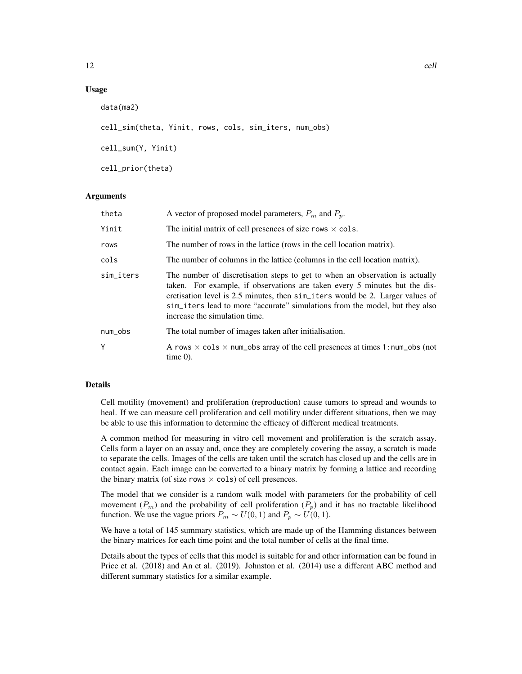# Usage

```
data(ma2)
cell_sim(theta, Yinit, rows, cols, sim_iters, num_obs)
cell_sum(Y, Yinit)
cell_prior(theta)
```
# Arguments

| theta     | A vector of proposed model parameters, $P_m$ and $P_p$ .                                                                                                                                                                                                                                                                                                    |
|-----------|-------------------------------------------------------------------------------------------------------------------------------------------------------------------------------------------------------------------------------------------------------------------------------------------------------------------------------------------------------------|
| Yinit     | The initial matrix of cell presences of size rows $\times$ cols.                                                                                                                                                                                                                                                                                            |
| rows      | The number of rows in the lattice (rows in the cell location matrix).                                                                                                                                                                                                                                                                                       |
| cols      | The number of columns in the lattice (columns in the cell location matrix).                                                                                                                                                                                                                                                                                 |
| sim_iters | The number of discretisation steps to get to when an observation is actually<br>taken. For example, if observations are taken every 5 minutes but the dis-<br>cretisation level is 2.5 minutes, then sim_iters would be 2. Larger values of<br>sim_iters lead to more "accurate" simulations from the model, but they also<br>increase the simulation time. |
| num_obs   | The total number of images taken after initialisation.                                                                                                                                                                                                                                                                                                      |
| Y         | A rows $\times$ cols $\times$ num obs array of the cell presences at times 1:num obs (not<br>time $0$ ).                                                                                                                                                                                                                                                    |

# Details

Cell motility (movement) and proliferation (reproduction) cause tumors to spread and wounds to heal. If we can measure cell proliferation and cell motility under different situations, then we may be able to use this information to determine the efficacy of different medical treatments.

A common method for measuring in vitro cell movement and proliferation is the scratch assay. Cells form a layer on an assay and, once they are completely covering the assay, a scratch is made to separate the cells. Images of the cells are taken until the scratch has closed up and the cells are in contact again. Each image can be converted to a binary matrix by forming a lattice and recording the binary matrix (of size rows  $\times$  cols) of cell presences.

The model that we consider is a random walk model with parameters for the probability of cell movement  $(P_m)$  and the probability of cell proliferation  $(P_p)$  and it has no tractable likelihood function. We use the vague priors  $P_m \sim U(0, 1)$  and  $P_p \sim U(0, 1)$ .

We have a total of 145 summary statistics, which are made up of the Hamming distances between the binary matrices for each time point and the total number of cells at the final time.

Details about the types of cells that this model is suitable for and other information can be found in Price et al. (2018) and An et al. (2019). Johnston et al. (2014) use a different ABC method and different summary statistics for a similar example.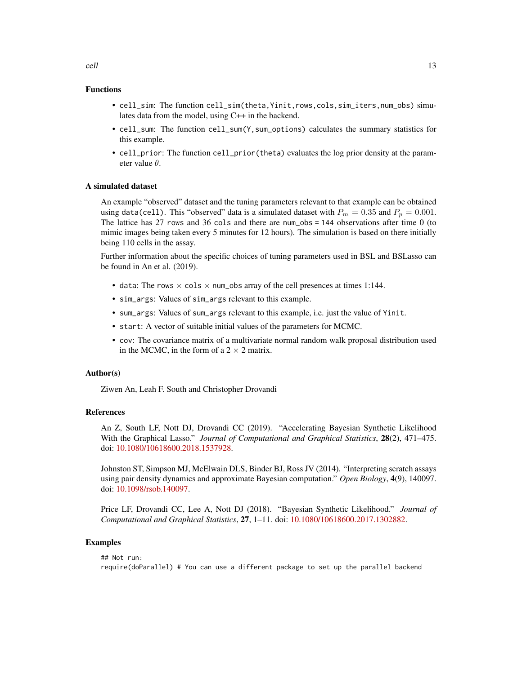# Functions

- cell\_sim: The function cell\_sim(theta,Yinit,rows,cols,sim\_iters,num\_obs) simulates data from the model, using C++ in the backend.
- cell\_sum: The function cell\_sum(Y,sum\_options) calculates the summary statistics for this example.
- cell\_prior: The function cell\_prior(theta) evaluates the log prior density at the parameter value θ.

#### A simulated dataset

An example "observed" dataset and the tuning parameters relevant to that example can be obtained using data(cell). This "observed" data is a simulated dataset with  $P_m = 0.35$  and  $P_p = 0.001$ . The lattice has 27 rows and 36 cols and there are num\_obs = 144 observations after time 0 (to mimic images being taken every 5 minutes for 12 hours). The simulation is based on there initially being 110 cells in the assay.

Further information about the specific choices of tuning parameters used in BSL and BSLasso can be found in An et al. (2019).

- data: The rows  $\times$  cols  $\times$  num\_obs array of the cell presences at times 1:144.
- sim\_args: Values of sim\_args relevant to this example.
- sum\_args: Values of sum\_args relevant to this example, i.e. just the value of Yinit.
- start: A vector of suitable initial values of the parameters for MCMC.
- cov: The covariance matrix of a multivariate normal random walk proposal distribution used in the MCMC, in the form of a  $2 \times 2$  matrix.

#### Author(s)

Ziwen An, Leah F. South and Christopher Drovandi

#### References

An Z, South LF, Nott DJ, Drovandi CC (2019). "Accelerating Bayesian Synthetic Likelihood With the Graphical Lasso." *Journal of Computational and Graphical Statistics*, 28(2), 471–475. doi: [10.1080/10618600.2018.1537928.](https://doi.org/10.1080/10618600.2018.1537928)

Johnston ST, Simpson MJ, McElwain DLS, Binder BJ, Ross JV (2014). "Interpreting scratch assays using pair density dynamics and approximate Bayesian computation." *Open Biology*, 4(9), 140097. doi: [10.1098/rsob.140097.](https://doi.org/10.1098/rsob.140097)

Price LF, Drovandi CC, Lee A, Nott DJ (2018). "Bayesian Synthetic Likelihood." *Journal of Computational and Graphical Statistics*, 27, 1–11. doi: [10.1080/10618600.2017.1302882.](https://doi.org/10.1080/10618600.2017.1302882)

#### Examples

## Not run: require(doParallel) # You can use a different package to set up the parallel backend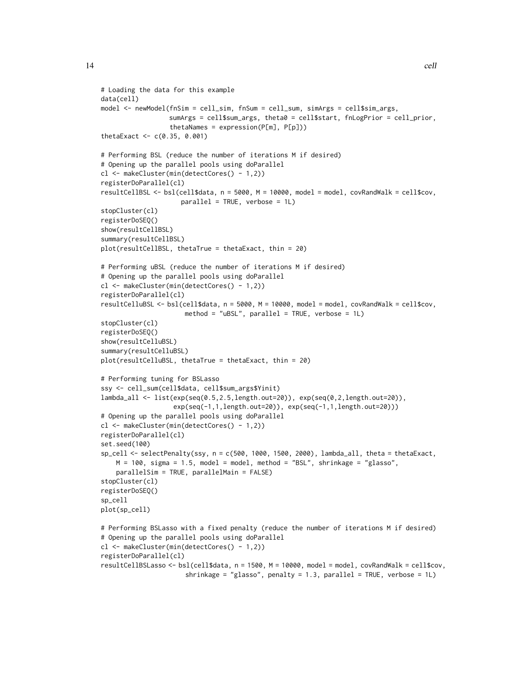```
# Loading the data for this example
data(cell)
model <- newModel(fnSim = cell_sim, fnSum = cell_sum, simArgs = cell$sim_args,
                  sumArgs = cell$sum_args, theta0 = cell$start, fnLogPrior = cell_prior,
                  thetaNames = expression(P[m], P[p]))thetaExact <- c(0.35, 0.001)
# Performing BSL (reduce the number of iterations M if desired)
# Opening up the parallel pools using doParallel
cl <- makeCluster(min(detectCores() - 1,2))
registerDoParallel(cl)
resultCellBSL <- bsl(cell$data, n = 5000, M = 10000, model = model, covRandWalk = cell$cov,
                     parallel = TRUE, verbose = 1L)
stopCluster(cl)
registerDoSEQ()
show(resultCellBSL)
summary(resultCellBSL)
plot(resultCellBSL, thetaTrue = thetaExact, thin = 20)
# Performing uBSL (reduce the number of iterations M if desired)
# Opening up the parallel pools using doParallel
cl <- makeCluster(min(detectCores() - 1,2))
registerDoParallel(cl)
resultCelluBSL <- bsl(cell$data, n = 5000, M = 10000, model = model, covRandWalk = cell$cov,
                      method = "uBSL", parallel = TRUE, verbose = 1L)
stopCluster(cl)
registerDoSEQ()
show(resultCelluBSL)
summary(resultCelluBSL)
plot(resultCelluBSL, thetaTrue = thetaExact, thin = 20)
# Performing tuning for BSLasso
ssy <- cell_sum(cell$data, cell$sum_args$Yinit)
lambda_all <- list(exp(seq(0.5,2.5,length.out=20)), exp(seq(0,2,length.out=20)),
                   exp(seq(-1,1,length.out=20)), exp(seq(-1,1,length.out=20)))
# Opening up the parallel pools using doParallel
cl <- makeCluster(min(detectCores() - 1,2))
registerDoParallel(cl)
set.seed(100)
sp_cell <- selectPenalty(ssy, n = c(500, 1000, 1500, 2000), lambda_all, theta = thetaExact,
    M = 100, sigma = 1.5, model = model, method = "BSL", shrinkage = "glasso",
    parallelSim = TRUE, parallelMain = FALSE)
stopCluster(cl)
registerDoSEQ()
sp_cell
plot(sp_cell)
# Performing BSLasso with a fixed penalty (reduce the number of iterations M if desired)
# Opening up the parallel pools using doParallel
cl <- makeCluster(min(detectCores() - 1,2))
registerDoParallel(cl)
resultCellBSLasso <- bsl(cell$data, n = 1500, M = 10000, model = model, covRandWalk = cell$cov,
                      shrinkage = "glasso", penalty = 1.3, parallel = TRUE, verbose = 1L)
```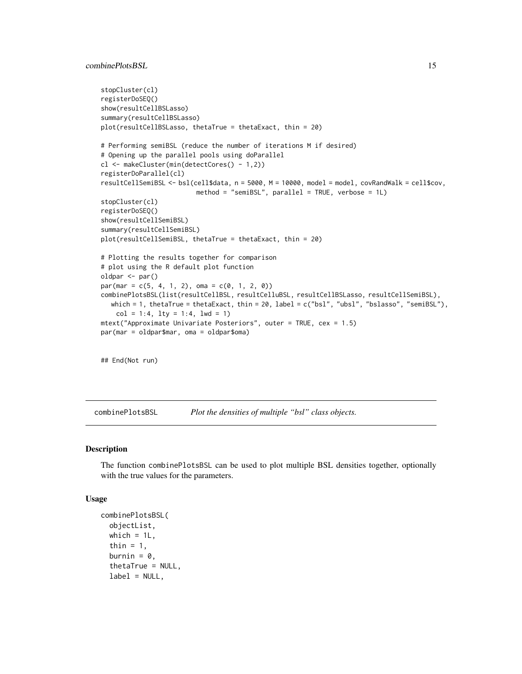# <span id="page-14-0"></span>combinePlotsBSL 15

```
stopCluster(cl)
registerDoSEQ()
show(resultCellBSLasso)
summary(resultCellBSLasso)
plot(resultCellBSLasso, thetaTrue = thetaExact, thin = 20)
# Performing semiBSL (reduce the number of iterations M if desired)
# Opening up the parallel pools using doParallel
cl <- makeCluster(min(detectCores() - 1,2))
registerDoParallel(cl)
resultCellSemiBSL <- bsl(cell$data, n = 5000, M = 10000, model = model, covRandWalk = cell$cov,
                         method = "semiBSL", parallel = TRUE, verbose = 1L)
stopCluster(cl)
registerDoSEQ()
show(resultCellSemiBSL)
summary(resultCellSemiBSL)
plot(resultCellSemiBSL, thetaTrue = thetaExact, thin = 20)
# Plotting the results together for comparison
# plot using the R default plot function
oldpar <- par()
par(max = c(5, 4, 1, 2), oma = c(0, 1, 2, 0))combinePlotsBSL(list(resultCellBSL, resultCelluBSL, resultCellBSLasso, resultCellSemiBSL),
  which = 1, thetaTrue = thetaExact, thin = 20, label = c("bsl", "ubsl", "bslasso", "semiBSL"),
   col = 1:4, lty = 1:4, lwd = 1)
mtext("Approximate Univariate Posteriors", outer = TRUE, cex = 1.5)
par(mar = oldpar$mar, oma = oldpar$oma)
```
## End(Not run)

combinePlotsBSL *Plot the densities of multiple "bsl" class objects.*

#### Description

The function combinePlotsBSL can be used to plot multiple BSL densities together, optionally with the true values for the parameters.

#### Usage

```
combinePlotsBSL(
  objectList,
 which = 1L,
  thin = 1,
  burnin = 0,
  thetaTrue = NULL,
  label = NULL,
```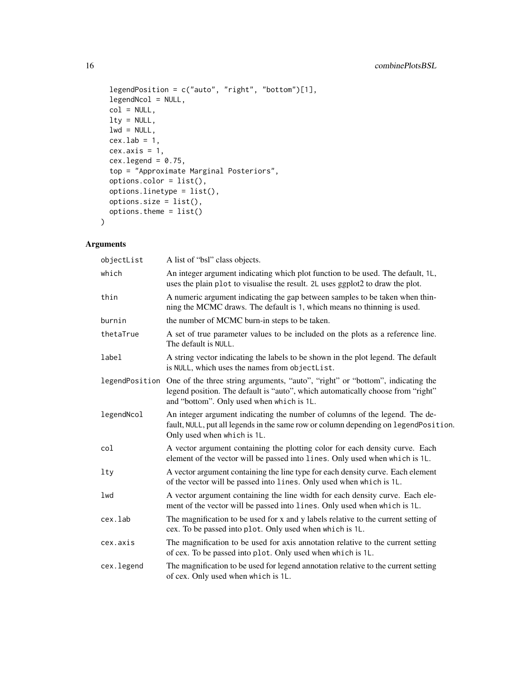```
legendPosition = c("auto", "right", "bottom")[1],
legendNcol = NULL,
col = NULL,lty = NULL,
lwd = NULL,cex.1ab = 1,
cex. axis = 1,cex.legend = 0.75,
top = "Approximate Marginal Posteriors",
options.color = list(),
options.linetype = list(),
options.size = list(),
options.theme = list()
```
# Arguments

 $\mathcal{L}$ 

| objectList     | A list of "bsl" class objects.                                                                                                                                                                                 |
|----------------|----------------------------------------------------------------------------------------------------------------------------------------------------------------------------------------------------------------|
| which          | An integer argument indicating which plot function to be used. The default, 1L,<br>uses the plain plot to visualise the result. 2L uses ggplot2 to draw the plot.                                              |
| thin           | A numeric argument indicating the gap between samples to be taken when thin-<br>ning the MCMC draws. The default is 1, which means no thinning is used.                                                        |
| burnin         | the number of MCMC burn-in steps to be taken.                                                                                                                                                                  |
| thetaTrue      | A set of true parameter values to be included on the plots as a reference line.<br>The default is NULL.                                                                                                        |
| label          | A string vector indicating the labels to be shown in the plot legend. The default<br>is NULL, which uses the names from objectList.                                                                            |
| legendPosition | One of the three string arguments, "auto", "right" or "bottom", indicating the<br>legend position. The default is "auto", which automatically choose from "right"<br>and "bottom". Only used when which is 1L. |
| legendNcol     | An integer argument indicating the number of columns of the legend. The de-<br>fault, NULL, put all legends in the same row or column depending on legendPosition.<br>Only used when which is 1L.              |
| col            | A vector argument containing the plotting color for each density curve. Each<br>element of the vector will be passed into lines. Only used when which is 1L.                                                   |
| 1ty            | A vector argument containing the line type for each density curve. Each element<br>of the vector will be passed into lines. Only used when which is 1L.                                                        |
| lwd            | A vector argument containing the line width for each density curve. Each ele-<br>ment of the vector will be passed into lines. Only used when which is 1L.                                                     |
| cex.lab        | The magnification to be used for x and y labels relative to the current setting of<br>cex. To be passed into plot. Only used when which is 1L.                                                                 |
| cex.axis       | The magnification to be used for axis annotation relative to the current setting<br>of cex. To be passed into plot. Only used when which is 1L.                                                                |
| cex.legend     | The magnification to be used for legend annotation relative to the current setting<br>of cex. Only used when which is 1L.                                                                                      |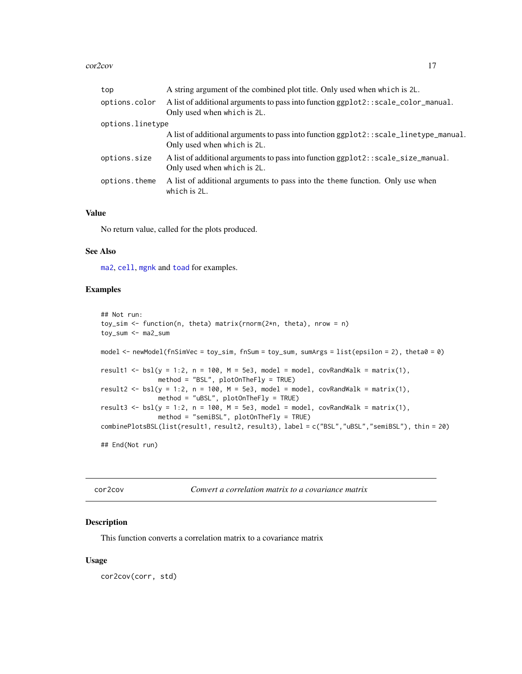#### <span id="page-16-0"></span>cor2cov and the core of the core of the core of the core of the core of the core of the core of the core of the core of the core of the core of the core of the core of the core of the core of the core of the core of the co

| top              | A string argument of the combined plot title. Only used when which is 2L.                                             |  |  |  |  |
|------------------|-----------------------------------------------------------------------------------------------------------------------|--|--|--|--|
| options.color    | A list of additional arguments to pass into function ggplot2: : scale_color_manual.<br>Only used when which is 2L.    |  |  |  |  |
| options.linetype |                                                                                                                       |  |  |  |  |
|                  | A list of additional arguments to pass into function ggplot2: : scale_linetype_manual.<br>Only used when which is 2L. |  |  |  |  |
| options.size     | A list of additional arguments to pass into function ggp1ot2::scale_size_manual.<br>Only used when which is 2L.       |  |  |  |  |
| options.theme    | A list of additional arguments to pass into the theme function. Only use when<br>which is 2L.                         |  |  |  |  |
|                  |                                                                                                                       |  |  |  |  |

# Value

No return value, called for the plots produced.

#### See Also

[ma2](#page-27-1), [cell](#page-10-1), [mgnk](#page-31-1) and [toad](#page-47-1) for examples.

# Examples

```
## Not run:
toy_sim <- function(n, theta) matrix(rnorm(2*n, theta), nrow = n)
toy_sum <- ma2_sum
model <- newModel(fnSimVec = toy_sim, fnSum = toy_sum, sumArgs = list(epsilon = 2), theta0 = 0)
result1 <- bsl(y = 1:2, n = 100, M = 5e3, \text{ model} = \text{model}, \text{covRandWalk} = \text{matrix}(1),method = "BSL", plotOnTheFly = TRUE)
result2 <- bsl(y = 1:2, n = 100, M = 5e3, \text{ model} = \text{model}, \text{covRandWalk} = \text{matrix}(1),method = "uBSL", plotOnTheFly = TRUE)
result3 <- bsl(y = 1:2, n = 100, M = 5e3, model = model, covRandWalk = matrix(1),
                method = "semiBSL", plotOnTheFly = TRUE)
combinePlotsBSL(list(result1, result2, result3), label = c("BSL","uBSL","semiBSL"), thin = 20)
## End(Not run)
```
<span id="page-16-1"></span>cor2cov *Convert a correlation matrix to a covariance matrix*

# Description

This function converts a correlation matrix to a covariance matrix

#### Usage

cor2cov(corr, std)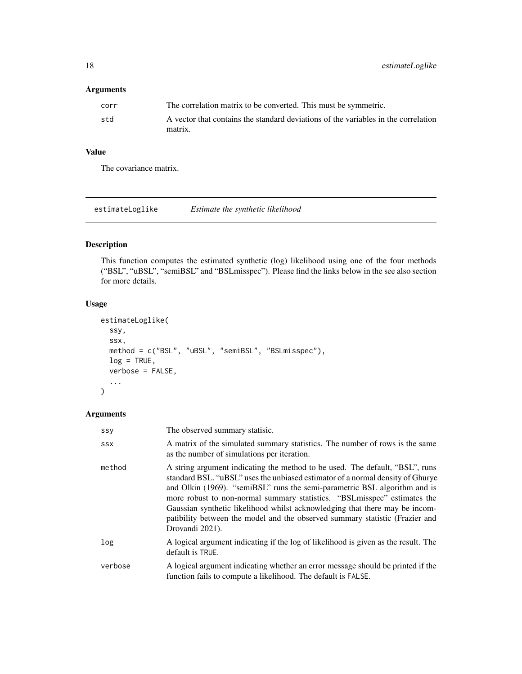# <span id="page-17-0"></span>Arguments

| corr | The correlation matrix to be converted. This must be symmetric.                    |
|------|------------------------------------------------------------------------------------|
| std  | A vector that contains the standard deviations of the variables in the correlation |
|      | matrix.                                                                            |

# Value

The covariance matrix.

estimateLoglike *Estimate the synthetic likelihood*

# Description

This function computes the estimated synthetic (log) likelihood using one of the four methods ("BSL", "uBSL", "semiBSL" and "BSLmisspec"). Please find the links below in the see also section for more details.

# Usage

```
estimateLoglike(
  ssy,
  ssx,
 method = c("BSL", "uBSL", "semiBSL", "BSLmisspec"),
 log = TRUE,verbose = FALSE,
  ...
)
```
# Arguments

| SSY        | The observed summary statisic.                                                                                                                                                                                                                                                                                                                                                                                                                                                                             |
|------------|------------------------------------------------------------------------------------------------------------------------------------------------------------------------------------------------------------------------------------------------------------------------------------------------------------------------------------------------------------------------------------------------------------------------------------------------------------------------------------------------------------|
| <b>SSX</b> | A matrix of the simulated summary statistics. The number of rows is the same<br>as the number of simulations per iteration.                                                                                                                                                                                                                                                                                                                                                                                |
| method     | A string argument indicating the method to be used. The default, "BSL", runs<br>standard BSL. "uBSL" uses the unbiased estimator of a normal density of Ghurye<br>and Olkin (1969). "semiBSL" runs the semi-parametric BSL algorithm and is<br>more robust to non-normal summary statistics. "BSL misspec" estimates the<br>Gaussian synthetic likelihood whilst acknowledging that there may be incom-<br>patibility between the model and the observed summary statistic (Frazier and<br>Drovandi 2021). |
| log        | A logical argument indicating if the log of likelihood is given as the result. The<br>default is TRUE.                                                                                                                                                                                                                                                                                                                                                                                                     |
| verbose    | A logical argument indicating whether an error message should be printed if the<br>function fails to compute a likelihood. The default is FALSE.                                                                                                                                                                                                                                                                                                                                                           |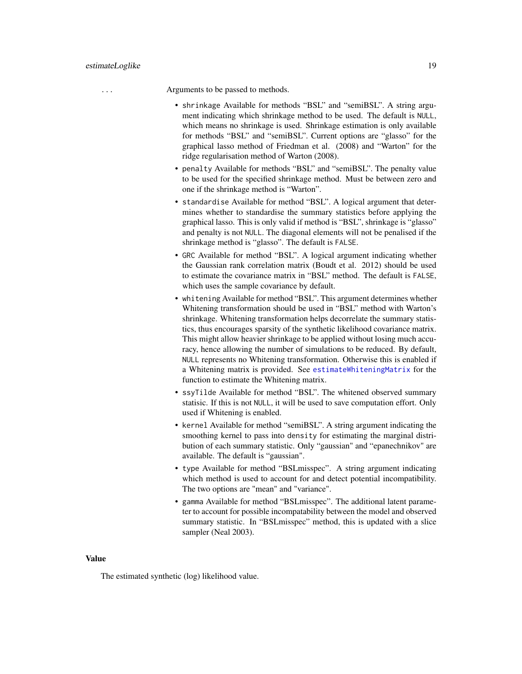<span id="page-18-0"></span>... Arguments to be passed to methods.

- shrinkage Available for methods "BSL" and "semiBSL". A string argument indicating which shrinkage method to be used. The default is NULL, which means no shrinkage is used. Shrinkage estimation is only available for methods "BSL" and "semiBSL". Current options are "glasso" for the graphical lasso method of Friedman et al. (2008) and "Warton" for the ridge regularisation method of Warton (2008).
- penalty Available for methods "BSL" and "semiBSL". The penalty value to be used for the specified shrinkage method. Must be between zero and one if the shrinkage method is "Warton".
- standardise Available for method "BSL". A logical argument that determines whether to standardise the summary statistics before applying the graphical lasso. This is only valid if method is "BSL", shrinkage is "glasso" and penalty is not NULL. The diagonal elements will not be penalised if the shrinkage method is "glasso". The default is FALSE.
- GRC Available for method "BSL". A logical argument indicating whether the Gaussian rank correlation matrix (Boudt et al. 2012) should be used to estimate the covariance matrix in "BSL" method. The default is FALSE, which uses the sample covariance by default.
- whitening Available for method "BSL". This argument determines whether Whitening transformation should be used in "BSL" method with Warton's shrinkage. Whitening transformation helps decorrelate the summary statistics, thus encourages sparsity of the synthetic likelihood covariance matrix. This might allow heavier shrinkage to be applied without losing much accuracy, hence allowing the number of simulations to be reduced. By default, NULL represents no Whitening transformation. Otherwise this is enabled if a Whitening matrix is provided. See [estimateWhiteningMatrix](#page-19-1) for the function to estimate the Whitening matrix.
- ssyTilde Available for method "BSL". The whitened observed summary statisic. If this is not NULL, it will be used to save computation effort. Only used if Whitening is enabled.
- kernel Available for method "semiBSL". A string argument indicating the smoothing kernel to pass into density for estimating the marginal distribution of each summary statistic. Only "gaussian" and "epanechnikov" are available. The default is "gaussian".
- type Available for method "BSLmisspec". A string argument indicating which method is used to account for and detect potential incompatibility. The two options are "mean" and "variance".
- gamma Available for method "BSLmisspec". The additional latent parameter to account for possible incompatability between the model and observed summary statistic. In "BSLmisspec" method, this is updated with a slice sampler (Neal 2003).

#### Value

The estimated synthetic (log) likelihood value.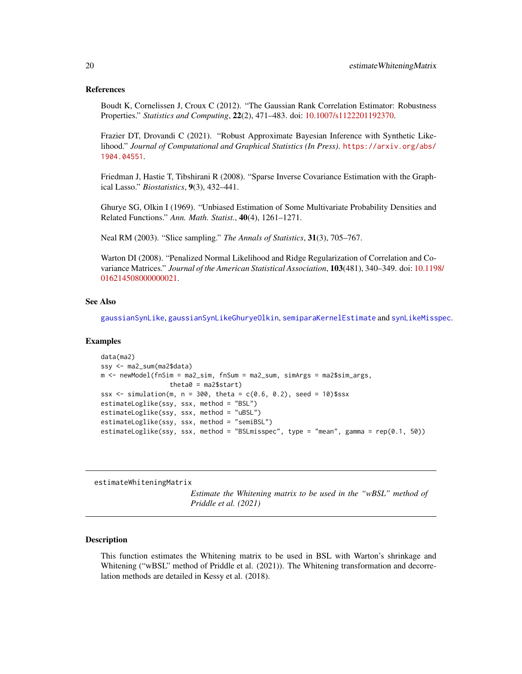#### <span id="page-19-0"></span>References

Boudt K, Cornelissen J, Croux C (2012). "The Gaussian Rank Correlation Estimator: Robustness Properties." *Statistics and Computing*, 22(2), 471–483. doi: [10.1007/s1122201192370.](https://doi.org/10.1007/s11222-011-9237-0)

Frazier DT, Drovandi C (2021). "Robust Approximate Bayesian Inference with Synthetic Likelihood." *Journal of Computational and Graphical Statistics (In Press)*. [https://arxiv.org/abs/](https://arxiv.org/abs/1904.04551) [1904.04551](https://arxiv.org/abs/1904.04551).

Friedman J, Hastie T, Tibshirani R (2008). "Sparse Inverse Covariance Estimation with the Graphical Lasso." *Biostatistics*, 9(3), 432–441.

Ghurye SG, Olkin I (1969). "Unbiased Estimation of Some Multivariate Probability Densities and Related Functions." *Ann. Math. Statist.*, 40(4), 1261–1271.

Neal RM (2003). "Slice sampling." *The Annals of Statistics*, 31(3), 705–767.

Warton DI (2008). "Penalized Normal Likelihood and Ridge Regularization of Correlation and Covariance Matrices." *Journal of the American Statistical Association*, 103(481), 340–349. doi: [10.119](https://doi.org/10.1198/016214508000000021)8/ [016214508000000021.](https://doi.org/10.1198/016214508000000021)

#### See Also

[gaussianSynLike](#page-22-1), [gaussianSynLikeGhuryeOlkin](#page-24-1), [semiparaKernelEstimate](#page-41-1) and [synLikeMisspec](#page-45-1).

#### Examples

```
data(ma2)
ssy <- ma2_sum(ma2$data)
m <- newModel(fnSim = ma2_sim, fnSum = ma2_sum, simArgs = ma2$sim_args,
                  theta0 = ma2$start)
ssx \le simulation(m, n = 300, theta = c(0.6, 0.2), seed = 10)$ssx
estimateLoglike(ssy, ssx, method = "BSL")
estimateLoglike(ssy, ssx, method = "uBSL")
estimateLoglike(ssy, ssx, method = "semiBSL")
estimateLoglike(ssy, ssx, method = "BSLmisspec", type = "mean", gamma = rep(0.1, 50))
```
<span id="page-19-1"></span>estimateWhiteningMatrix

*Estimate the Whitening matrix to be used in the "wBSL" method of Priddle et al. (2021)*

#### **Description**

This function estimates the Whitening matrix to be used in BSL with Warton's shrinkage and Whitening ("wBSL" method of Priddle et al. (2021)). The Whitening transformation and decorrelation methods are detailed in Kessy et al. (2018).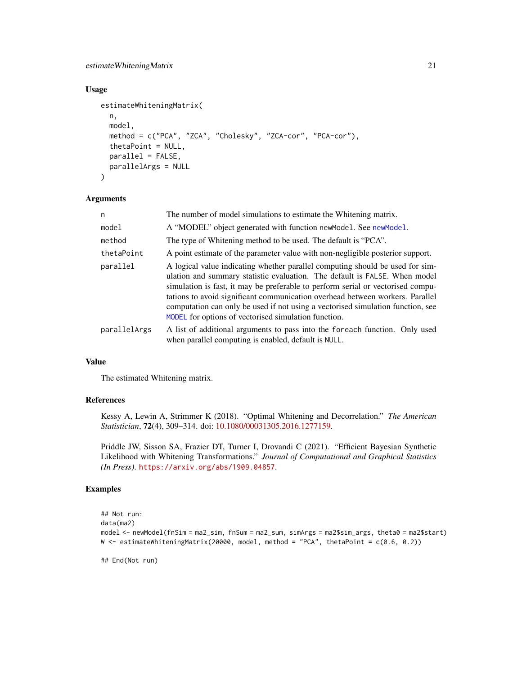# <span id="page-20-0"></span>estimateWhiteningMatrix 21

#### Usage

```
estimateWhiteningMatrix(
  n,
  model,
  method = c("PCA", "ZCA", "Cholesky", "ZCA-cor", "PCA-cor"),
  thetaPoint = NULL,
  parallel = FALSE,
  parallelArgs = NULL
)
```
#### Arguments

| n            | The number of model simulations to estimate the Whitening matrix.                                                                                                                                                                                                                                                                                                                                                                                                          |  |  |  |
|--------------|----------------------------------------------------------------------------------------------------------------------------------------------------------------------------------------------------------------------------------------------------------------------------------------------------------------------------------------------------------------------------------------------------------------------------------------------------------------------------|--|--|--|
| model        | A "MODEL" object generated with function new Model. See new Model.                                                                                                                                                                                                                                                                                                                                                                                                         |  |  |  |
| method       | The type of Whitening method to be used. The default is "PCA".                                                                                                                                                                                                                                                                                                                                                                                                             |  |  |  |
| thetaPoint   | A point estimate of the parameter value with non-negligible posterior support.                                                                                                                                                                                                                                                                                                                                                                                             |  |  |  |
| parallel     | A logical value indicating whether parallel computing should be used for sim-<br>ulation and summary statistic evaluation. The default is FALSE. When model<br>simulation is fast, it may be preferable to perform serial or vectorised compu-<br>tations to avoid significant communication overhead between workers. Parallel<br>computation can only be used if not using a vectorised simulation function, see<br>MODEL for options of vectorised simulation function. |  |  |  |
| parallelArgs | A list of additional arguments to pass into the foreach function. Only used<br>when parallel computing is enabled, default is NULL.                                                                                                                                                                                                                                                                                                                                        |  |  |  |

# Value

The estimated Whitening matrix.

# References

Kessy A, Lewin A, Strimmer K (2018). "Optimal Whitening and Decorrelation." *The American Statistician*, 72(4), 309–314. doi: [10.1080/00031305.2016.1277159.](https://doi.org/10.1080/00031305.2016.1277159)

Priddle JW, Sisson SA, Frazier DT, Turner I, Drovandi C (2021). "Efficient Bayesian Synthetic Likelihood with Whitening Transformations." *Journal of Computational and Graphical Statistics (In Press)*. <https://arxiv.org/abs/1909.04857>.

# Examples

```
## Not run:
data(ma2)
model <- newModel(fnSim = ma2_sim, fnSum = ma2_sum, simArgs = ma2$sim_args, theta0 = ma2$start)
W <- estimateWhiteningMatrix(20000, model, method = "PCA", thetaPoint = c(0.6, 0.2))
```
## End(Not run)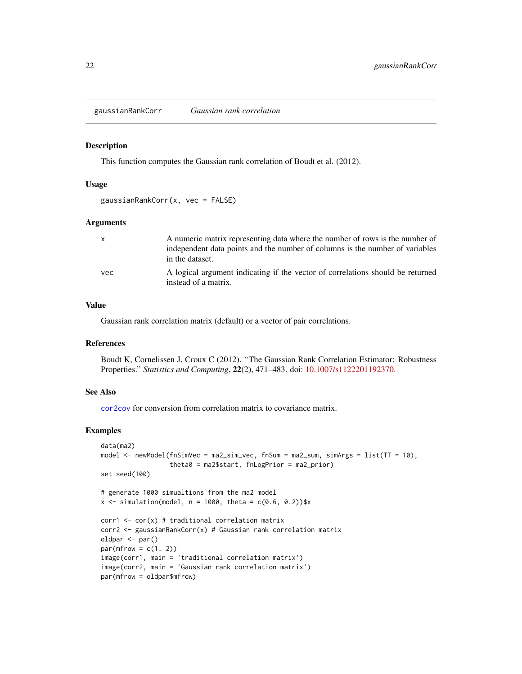<span id="page-21-0"></span>gaussianRankCorr *Gaussian rank correlation*

#### Description

This function computes the Gaussian rank correlation of Boudt et al. (2012).

#### Usage

```
gaussianRankCorr(x, vec = FALSE)
```
#### Arguments

| $\mathsf{x}$ | A numeric matrix representing data where the number of rows is the number of<br>independent data points and the number of columns is the number of variables<br>in the dataset. |
|--------------|---------------------------------------------------------------------------------------------------------------------------------------------------------------------------------|
| vec          | A logical argument indicating if the vector of correlations should be returned<br>instead of a matrix.                                                                          |

# Value

Gaussian rank correlation matrix (default) or a vector of pair correlations.

#### References

Boudt K, Cornelissen J, Croux C (2012). "The Gaussian Rank Correlation Estimator: Robustness Properties." *Statistics and Computing*, 22(2), 471–483. doi: [10.1007/s1122201192370.](https://doi.org/10.1007/s11222-011-9237-0)

# See Also

[cor2cov](#page-16-1) for conversion from correlation matrix to covariance matrix.

# Examples

```
data(ma2)
model <- newModel(fnSimVec = ma2_sim_vec, fnSum = ma2_sum, simArgs = list(TT = 10),
                  theta0 = ma2$start, fnLogPrior = ma2_prior)
set.seed(100)
# generate 1000 simualtions from the ma2 model
x \le - simulation(model, n = 1000, theta = c(0.6, 0.2))$x
corr1 \leftarrow cor(x) # traditional correlation matrix
corr2 <- gaussianRankCorr(x) # Gaussian rank correlation matrix
oldpar <- par()
par(mfrow = c(1, 2))image(corr1, main = 'traditional correlation matrix')
image(corr2, main = 'Gaussian rank correlation matrix')
par(mfrow = oldpar$mfrow)
```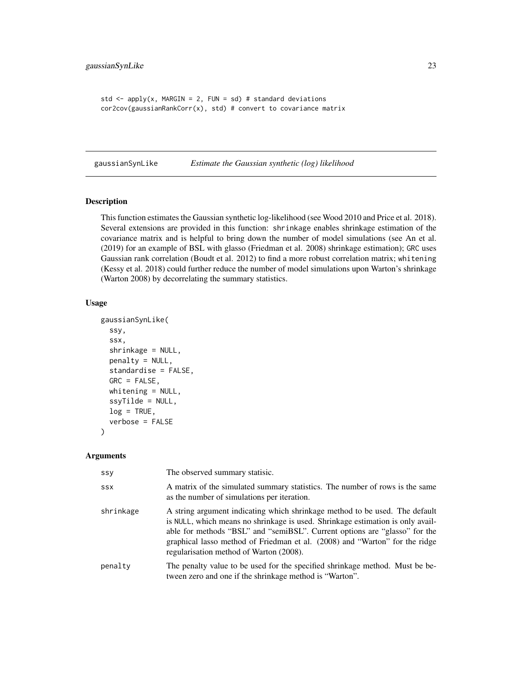```
std \leq apply(x, MARGIN = 2, FUN = sd) # standard deviations
cor2cov(gaussianRankCorr(x), std) # convert to covariance matrix
```
<span id="page-22-1"></span>gaussianSynLike *Estimate the Gaussian synthetic (log) likelihood*

#### Description

This function estimates the Gaussian synthetic log-likelihood (see Wood 2010 and Price et al. 2018). Several extensions are provided in this function: shrinkage enables shrinkage estimation of the covariance matrix and is helpful to bring down the number of model simulations (see An et al. (2019) for an example of BSL with glasso (Friedman et al. 2008) shrinkage estimation); GRC uses Gaussian rank correlation (Boudt et al. 2012) to find a more robust correlation matrix; whitening (Kessy et al. 2018) could further reduce the number of model simulations upon Warton's shrinkage (Warton 2008) by decorrelating the summary statistics.

#### Usage

```
gaussianSynLike(
  ssy,
  ssx,
  shrinkage = NULL,
  penalty = NULL,
  standardise = FALSE,
  GRC = FALSE,whitening = NULL,
  ssyTilde = NULL,
  log = TRUE,verbose = FALSE
)
```
#### Arguments

| SSV        | The observed summary statisic.                                                                                                                                                                                                                                                                                                                                        |
|------------|-----------------------------------------------------------------------------------------------------------------------------------------------------------------------------------------------------------------------------------------------------------------------------------------------------------------------------------------------------------------------|
| <b>SSX</b> | A matrix of the simulated summary statistics. The number of rows is the same<br>as the number of simulations per iteration.                                                                                                                                                                                                                                           |
| shrinkage  | A string argument indicating which shrinkage method to be used. The default<br>is NULL, which means no shrinkage is used. Shrinkage estimation is only avail-<br>able for methods "BSL" and "semiBSL". Current options are "glasso" for the<br>graphical lasso method of Friedman et al. (2008) and "Warton" for the ridge<br>regularisation method of Warton (2008). |
| penalty    | The penalty value to be used for the specified shrinkage method. Must be be-<br>tween zero and one if the shrinkage method is "Warton".                                                                                                                                                                                                                               |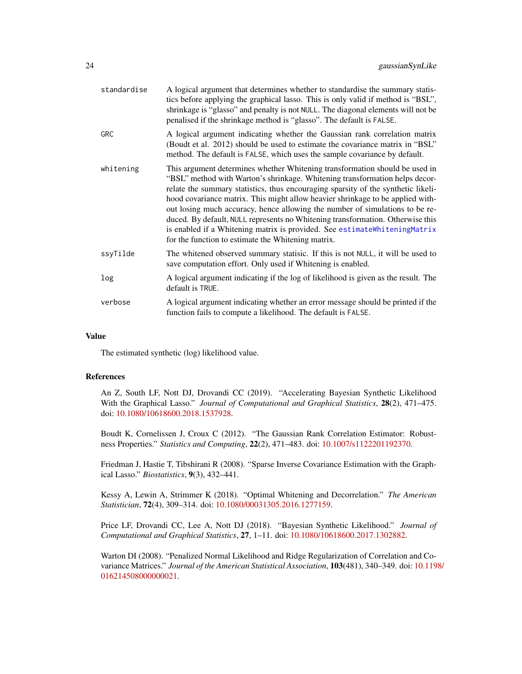<span id="page-23-0"></span>

| standardise | A logical argument that determines whether to standardise the summary statis-<br>tics before applying the graphical lasso. This is only valid if method is "BSL",<br>shrinkage is "glasso" and penalty is not NULL. The diagonal elements will not be<br>penalised if the shrinkage method is "glasso". The default is FALSE.                                                                                                                                                                                                                                                                                                          |
|-------------|----------------------------------------------------------------------------------------------------------------------------------------------------------------------------------------------------------------------------------------------------------------------------------------------------------------------------------------------------------------------------------------------------------------------------------------------------------------------------------------------------------------------------------------------------------------------------------------------------------------------------------------|
| <b>GRC</b>  | A logical argument indicating whether the Gaussian rank correlation matrix<br>(Boudt et al. 2012) should be used to estimate the covariance matrix in "BSL"<br>method. The default is FALSE, which uses the sample covariance by default.                                                                                                                                                                                                                                                                                                                                                                                              |
| whitening   | This argument determines whether Whitening transformation should be used in<br>"BSL" method with Warton's shrinkage. Whitening transformation helps decor-<br>relate the summary statistics, thus encouraging sparsity of the synthetic likeli-<br>hood covariance matrix. This might allow heavier shrinkage to be applied with-<br>out losing much accuracy, hence allowing the number of simulations to be re-<br>duced. By default, NULL represents no Whitening transformation. Otherwise this<br>is enabled if a Whitening matrix is provided. See estimateWhiteningMatrix<br>for the function to estimate the Whitening matrix. |
| ssyTilde    | The whitened observed summary statisic. If this is not NULL, it will be used to<br>save computation effort. Only used if Whitening is enabled.                                                                                                                                                                                                                                                                                                                                                                                                                                                                                         |
| log         | A logical argument indicating if the log of likelihood is given as the result. The<br>default is TRUE.                                                                                                                                                                                                                                                                                                                                                                                                                                                                                                                                 |
| verbose     | A logical argument indicating whether an error message should be printed if the<br>function fails to compute a likelihood. The default is FALSE.                                                                                                                                                                                                                                                                                                                                                                                                                                                                                       |

#### Value

The estimated synthetic (log) likelihood value.

#### References

An Z, South LF, Nott DJ, Drovandi CC (2019). "Accelerating Bayesian Synthetic Likelihood With the Graphical Lasso." *Journal of Computational and Graphical Statistics*, 28(2), 471–475. doi: [10.1080/10618600.2018.1537928.](https://doi.org/10.1080/10618600.2018.1537928)

Boudt K, Cornelissen J, Croux C (2012). "The Gaussian Rank Correlation Estimator: Robustness Properties." *Statistics and Computing*, 22(2), 471–483. doi: [10.1007/s1122201192370.](https://doi.org/10.1007/s11222-011-9237-0)

Friedman J, Hastie T, Tibshirani R (2008). "Sparse Inverse Covariance Estimation with the Graphical Lasso." *Biostatistics*, 9(3), 432–441.

Kessy A, Lewin A, Strimmer K (2018). "Optimal Whitening and Decorrelation." *The American Statistician*, 72(4), 309–314. doi: [10.1080/00031305.2016.1277159.](https://doi.org/10.1080/00031305.2016.1277159)

Price LF, Drovandi CC, Lee A, Nott DJ (2018). "Bayesian Synthetic Likelihood." *Journal of Computational and Graphical Statistics*, 27, 1–11. doi: [10.1080/10618600.2017.1302882.](https://doi.org/10.1080/10618600.2017.1302882)

Warton DI (2008). "Penalized Normal Likelihood and Ridge Regularization of Correlation and Covariance Matrices." *Journal of the American Statistical Association*, 103(481), 340–349. doi: [10.119](https://doi.org/10.1198/016214508000000021)8/ [016214508000000021.](https://doi.org/10.1198/016214508000000021)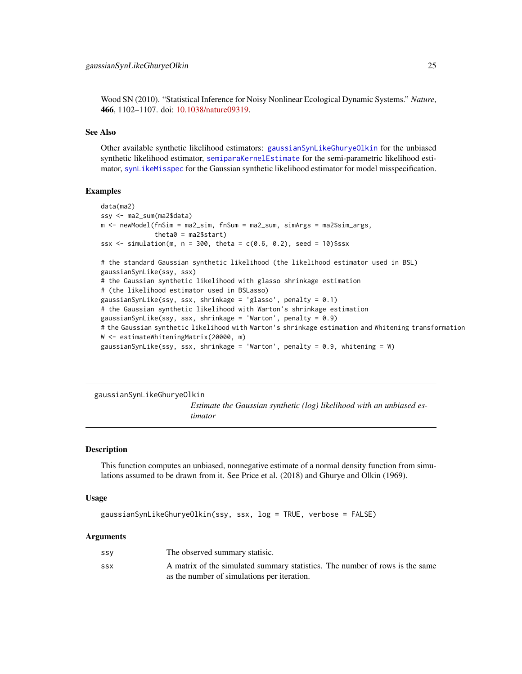<span id="page-24-0"></span>Wood SN (2010). "Statistical Inference for Noisy Nonlinear Ecological Dynamic Systems." *Nature*, 466, 1102–1107. doi: [10.1038/nature09319.](https://doi.org/10.1038/nature09319)

#### See Also

Other available synthetic likelihood estimators: [gaussianSynLikeGhuryeOlkin](#page-24-1) for the unbiased synthetic likelihood estimator, [semiparaKernelEstimate](#page-41-1) for the semi-parametric likelihood estimator, [synLikeMisspec](#page-45-1) for the Gaussian synthetic likelihood estimator for model misspecification.

#### Examples

```
data(ma2)
ssy <- ma2_sum(ma2$data)
m <- newModel(fnSim = ma2_sim, fnSum = ma2_sum, simArgs = ma2$sim_args,
              theta = ma2$start)ssx <- simulation(m, n = 300, theta = c(0.6, 0.2), seed = 10)$ssx
# the standard Gaussian synthetic likelihood (the likelihood estimator used in BSL)
gaussianSynLike(ssy, ssx)
# the Gaussian synthetic likelihood with glasso shrinkage estimation
# (the likelihood estimator used in BSLasso)
gaussianSynLike(ssy, ssx, shrinkage = 'glasso', penalty = 0.1)
# the Gaussian synthetic likelihood with Warton's shrinkage estimation
gaussianSynLike(ssy, ssx, shrinkage = 'Warton', penalty = 0.9)
# the Gaussian synthetic likelihood with Warton's shrinkage estimation and Whitening transformation
W <- estimateWhiteningMatrix(20000, m)
gaussianSynLike(ssy, ssx, shrinkage = 'Warton', penalty = 0.9, whitening = W)
```
<span id="page-24-1"></span>gaussianSynLikeGhuryeOlkin

*Estimate the Gaussian synthetic (log) likelihood with an unbiased estimator*

#### Description

This function computes an unbiased, nonnegative estimate of a normal density function from simulations assumed to be drawn from it. See Price et al. (2018) and Ghurye and Olkin (1969).

#### Usage

```
gaussianSynLikeGhuryeOlkin(ssy, ssx, log = TRUE, verbose = FALSE)
```
#### Arguments

| SSV | The observed summary statisic.                                               |
|-----|------------------------------------------------------------------------------|
| SSX | A matrix of the simulated summary statistics. The number of rows is the same |
|     | as the number of simulations per iteration.                                  |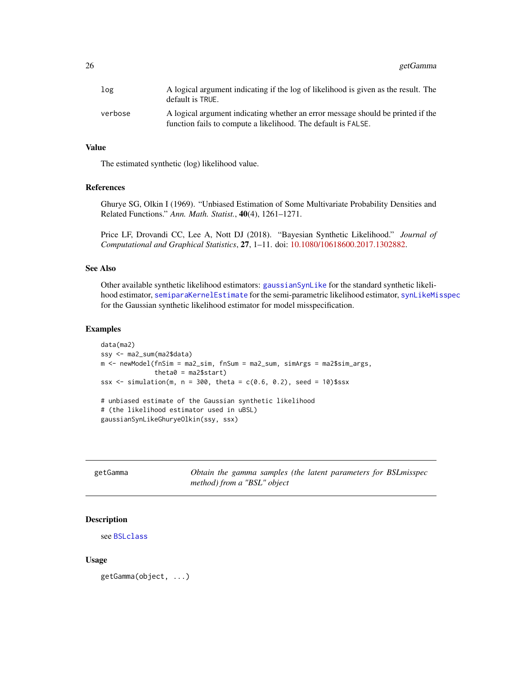<span id="page-25-0"></span>26 getGamma

| log     | A logical argument indicating if the log of likelihood is given as the result. The<br>default is TRUE.                                           |
|---------|--------------------------------------------------------------------------------------------------------------------------------------------------|
| verbose | A logical argument indicating whether an error message should be printed if the<br>function fails to compute a likelihood. The default is FALSE. |

#### Value

The estimated synthetic (log) likelihood value.

# References

Ghurye SG, Olkin I (1969). "Unbiased Estimation of Some Multivariate Probability Densities and Related Functions." *Ann. Math. Statist.*, 40(4), 1261–1271.

Price LF, Drovandi CC, Lee A, Nott DJ (2018). "Bayesian Synthetic Likelihood." *Journal of Computational and Graphical Statistics*, 27, 1–11. doi: [10.1080/10618600.2017.1302882.](https://doi.org/10.1080/10618600.2017.1302882)

# See Also

Other available synthetic likelihood estimators: [gaussianSynLike](#page-22-1) for the standard synthetic likelihood estimator, [semiparaKernelEstimate](#page-41-1) for the semi-parametric likelihood estimator, [synLikeMisspec](#page-45-1) for the Gaussian synthetic likelihood estimator for model misspecification.

# Examples

```
data(ma2)
ssy <- ma2_sum(ma2$data)
m <- newModel(fnSim = ma2_sim, fnSum = ma2_sum, simArgs = ma2$sim_args,
              theta = ma2$start)ssx \le simulation(m, n = 300, theta = c(0.6, 0.2), seed = 10)$ssx
# unbiased estimate of the Gaussian synthetic likelihood
# (the likelihood estimator used in uBSL)
gaussianSynLikeGhuryeOlkin(ssy, ssx)
```

| getGamma |                             |  |  |  | Obtain the gamma samples (the latent parameters for BSL misspec |
|----------|-----------------------------|--|--|--|-----------------------------------------------------------------|
|          | method) from a "BSL" object |  |  |  |                                                                 |

# Description

```
see BSLclass
```
#### Usage

getGamma(object, ...)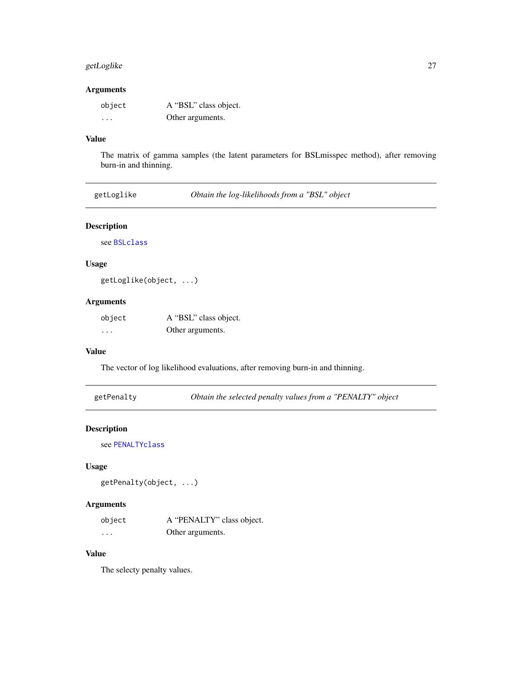# <span id="page-26-0"></span>getLoglike 27

# Arguments

| object   | A "BSL" class object. |
|----------|-----------------------|
| $\cdots$ | Other arguments.      |

# Value

The matrix of gamma samples (the latent parameters for BSLmisspec method), after removing burn-in and thinning.

| Obtain the log-likelihoods from a "BSL" object<br>getLoglike |
|--------------------------------------------------------------|
|--------------------------------------------------------------|

# Description

see [BSLclass](#page-8-1)

# Usage

getLoglike(object, ...)

# Arguments

| object | A "BSL" class object. |
|--------|-----------------------|
| .      | Other arguments.      |

# Value

The vector of log likelihood evaluations, after removing burn-in and thinning.

getPenalty *Obtain the selected penalty values from a "PENALTY" object*

# Description

see [PENALTYclass](#page-38-1)

# Usage

getPenalty(object, ...)

# Arguments

| object | A "PENALTY" class object. |
|--------|---------------------------|
| .      | Other arguments.          |

# Value

The selecty penalty values.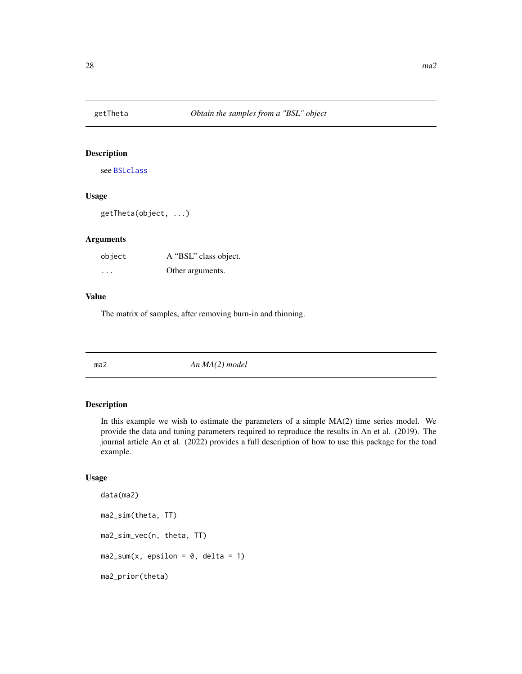<span id="page-27-0"></span>

# Description

see [BSLclass](#page-8-1)

# Usage

getTheta(object, ...)

# Arguments

| object  | A "BSL" class object. |
|---------|-----------------------|
| $\cdot$ | Other arguments.      |

# Value

The matrix of samples, after removing burn-in and thinning.

<span id="page-27-1"></span>

ma2 *An MA(2) model*

# Description

In this example we wish to estimate the parameters of a simple  $MA(2)$  time series model. We provide the data and tuning parameters required to reproduce the results in An et al. (2019). The journal article An et al. (2022) provides a full description of how to use this package for the toad example.

#### Usage

```
data(ma2)
ma2_sim(theta, TT)
ma2_sim_vec(n, theta, TT)
ma2_sum(x, epsilon = 0, delta = 1)ma2_prior(theta)
```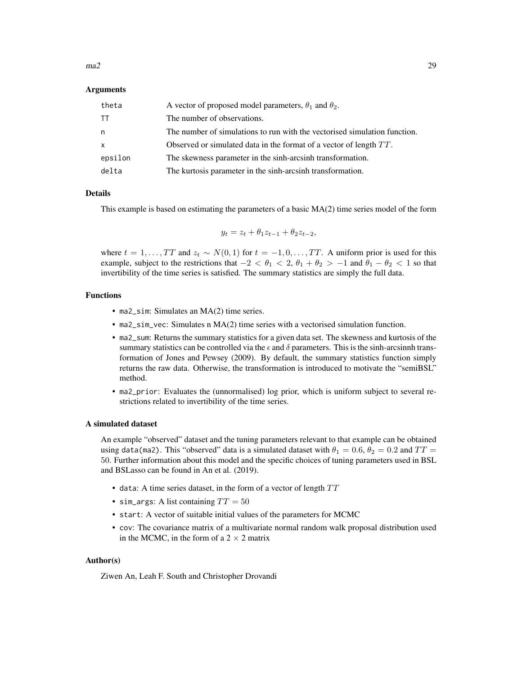#### $ma2$  29

#### Arguments

| theta    | A vector of proposed model parameters, $\theta_1$ and $\theta_2$ .        |
|----------|---------------------------------------------------------------------------|
| $\top$   | The number of observations.                                               |
| n        | The number of simulations to run with the vectorised simulation function. |
| $\times$ | Observed or simulated data in the format of a vector of length TT.        |
| epsilon  | The skewness parameter in the sinh-arcsinh transformation.                |
| delta    | The kurtosis parameter in the sinh-arcsinh transformation.                |

#### Details

This example is based on estimating the parameters of a basic MA(2) time series model of the form

$$
y_t = z_t + \theta_1 z_{t-1} + \theta_2 z_{t-2},
$$

where  $t = 1, \ldots, TT$  and  $z_t \sim N(0, 1)$  for  $t = -1, 0, \ldots, TT$ . A uniform prior is used for this example, subject to the restrictions that  $-2 < \theta_1 < 2$ ,  $\theta_1 + \theta_2 > -1$  and  $\theta_1 - \theta_2 < 1$  so that invertibility of the time series is satisfied. The summary statistics are simply the full data.

# Functions

- ma2\_sim: Simulates an MA(2) time series.
- ma2\_sim\_vec: Simulates n MA(2) time series with a vectorised simulation function.
- ma2\_sum: Returns the summary statistics for a given data set. The skewness and kurtosis of the summary statistics can be controlled via the  $\epsilon$  and  $\delta$  parameters. This is the sinh-arcsinnh transformation of Jones and Pewsey (2009). By default, the summary statistics function simply returns the raw data. Otherwise, the transformation is introduced to motivate the "semiBSL" method.
- ma2\_prior: Evaluates the (unnormalised) log prior, which is uniform subject to several restrictions related to invertibility of the time series.

#### A simulated dataset

An example "observed" dataset and the tuning parameters relevant to that example can be obtained using data(ma2). This "observed" data is a simulated dataset with  $\theta_1 = 0.6$ ,  $\theta_2 = 0.2$  and  $TT =$ 50. Further information about this model and the specific choices of tuning parameters used in BSL and BSLasso can be found in An et al. (2019).

- data: A time series dataset, in the form of a vector of length  $TT$
- sim\_args: A list containing  $TT = 50$
- start: A vector of suitable initial values of the parameters for MCMC
- cov: The covariance matrix of a multivariate normal random walk proposal distribution used in the MCMC, in the form of a  $2 \times 2$  matrix

#### Author(s)

Ziwen An, Leah F. South and Christopher Drovandi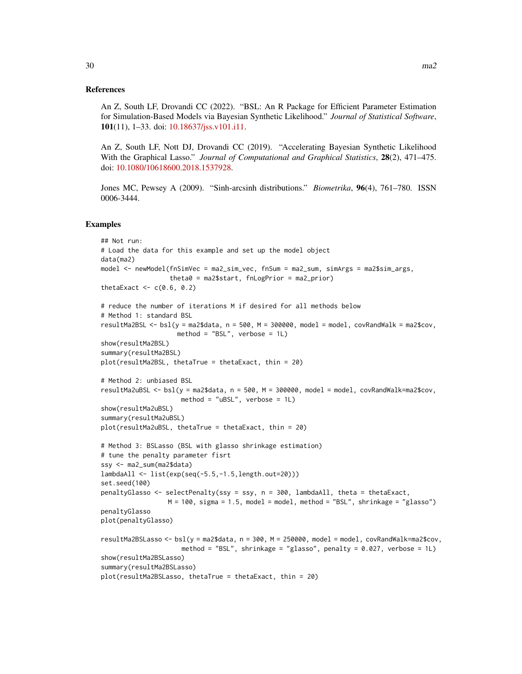#### References

An Z, South LF, Drovandi CC (2022). "BSL: An R Package for Efficient Parameter Estimation for Simulation-Based Models via Bayesian Synthetic Likelihood." *Journal of Statistical Software*, 101(11), 1–33. doi: [10.18637/jss.v101.i11.](https://doi.org/10.18637/jss.v101.i11)

An Z, South LF, Nott DJ, Drovandi CC (2019). "Accelerating Bayesian Synthetic Likelihood With the Graphical Lasso." *Journal of Computational and Graphical Statistics*, 28(2), 471–475. doi: [10.1080/10618600.2018.1537928.](https://doi.org/10.1080/10618600.2018.1537928)

Jones MC, Pewsey A (2009). "Sinh-arcsinh distributions." *Biometrika*, 96(4), 761–780. ISSN 0006-3444.

#### Examples

```
## Not run:
# Load the data for this example and set up the model object
data(ma2)
model <- newModel(fnSimVec = ma2_sim_vec, fnSum = ma2_sum, simArgs = ma2$sim_args,
                  theta0 = ma2$start, fnLogPrior = ma2_prior)
thetaExact \leq c(0.6, 0.2)
# reduce the number of iterations M if desired for all methods below
# Method 1: standard BSL
resultMa2BSL \le- bsl(y = ma2$data, n = 500, M = 300000, model = model, covRandWalk = ma2$cov,
                    method = "BSL", verbose = 1L)
show(resultMa2BSL)
summary(resultMa2BSL)
plot(resultMa2BSL, thetaTrue = thetaExact, thin = 20)
# Method 2: unbiased BSL
resultMa2uBSL <- bsl(y = ma2$data, n = 500, M = 300000, model = model, covRandWalk=ma2$cov,
                     method = "uBSL", verbose = 1L)
show(resultMa2uBSL)
summary(resultMa2uBSL)
plot(resultMa2uBSL, thetaTrue = thetaExact, thin = 20)
# Method 3: BSLasso (BSL with glasso shrinkage estimation)
# tune the penalty parameter fisrt
ssy <- ma2_sum(ma2$data)
lambdaAll <- list(exp(seq(-5.5,-1.5,length.out=20)))
set.seed(100)
penaltyGlasso <- selectPenalty(ssy = ssy, n = 300, lambdaAll, theta = thetaExact,
                 M = 100, sigma = 1.5, model = model, method = "BSL", shrinkage = "glasso")
penaltyGlasso
plot(penaltyGlasso)
resultMa2BSLasso <- bsl(y = ma2$data, n = 300, M = 250000, model = model, covRandWalk=ma2$cov,
                     method = "BSL", shrinkage = "glasso", penalty = 0.027, verbose = 1L)
show(resultMa2BSLasso)
summary(resultMa2BSLasso)
plot(resultMa2BSLasso, thetaTrue = thetaExact, thin = 20)
```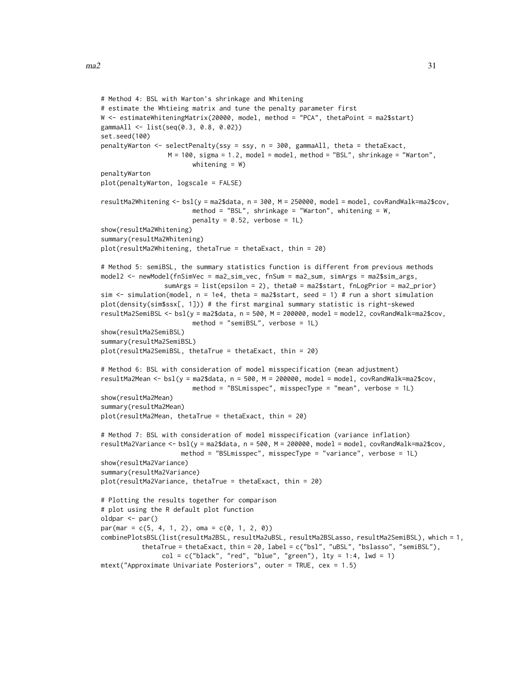```
# Method 4: BSL with Warton's shrinkage and Whitening
# estimate the Whtieing matrix and tune the penalty parameter first
W <- estimateWhiteningMatrix(20000, model, method = "PCA", thetaPoint = ma2$start)
gammaAll <- list(seq(0.3, 0.8, 0.02))
set.seed(100)
penaltyWarton <- selectPenalty(ssy = ssy, n = 300, gammaAll, theta = thetaExact,
                 M = 100, sigma = 1.2, model = model, method = "BSL", shrinkage = "Warton",
                        whitening = W)
penaltyWarton
plot(penaltyWarton, logscale = FALSE)
resultMa2Whitening <- bsl(y = ma2$data, n = 300, M = 250000, model = model, covRandWalk=ma2$cov,
                        method = "BSL", shrinkage = "Warton", whitening = W,
                        penalty = 0.52, verbose = 1L)
show(resultMa2Whitening)
summary(resultMa2Whitening)
plot(resultMa2Whitening, thetaTrue = thetaExact, thin = 20)
# Method 5: semiBSL, the summary statistics function is different from previous methods
model2 <- newModel(fnSimVec = ma2_sim_vec, fnSum = ma2_sum, simArgs = ma2$sim_args,
                sumArgs = list(epsilon = 2), theta0 = ma2$start, fnLogPrior = ma2_prior)
sim <- simulation(model, n = 1e4, theta = ma2$start, seed = 1) # run a short simulation
plot(density(sim$ssx[, 1])) # the first marginal summary statistic is right-skewed
resultMa2SemiBSL <- bsl(y = ma2$data, n = 500, M = 200000, model = model2, covRandWalk=ma2$cov,
                        method = "semiBSL", verbose = 1L)
show(resultMa2SemiBSL)
summary(resultMa2SemiBSL)
plot(resultMa2SemiBSL, thetaTrue = thetaExact, thin = 20)
# Method 6: BSL with consideration of model misspecification (mean adjustment)
resultMa2Mean <- bsl(y = ma2$data, n = 500, M = 200000, model = model, covRandWalk=ma2$cov,
                        method = "BSLmisspec", misspecType = "mean", verbose = 1L)
show(resultMa2Mean)
summary(resultMa2Mean)
plot(resultMa2Mean, thetaTrue = thetaExact, thin = 20)
# Method 7: BSL with consideration of model misspecification (variance inflation)
resultMa2Variance <- bsl(y = ma2$data, n = 500, M = 200000, model = model, covRandWalk=ma2$cov,
                     method = "BSLmisspec", misspecType = "variance", verbose = 1L)
show(resultMa2Variance)
summary(resultMa2Variance)
plot(resultMa2Variance, thetaTrue = thetaExact, thin = 20)
# Plotting the results together for comparison
# plot using the R default plot function
oldpar <- par()
par(max = c(5, 4, 1, 2), oma = c(0, 1, 2, 0))combinePlotsBSL(list(resultMa2BSL, resultMa2uBSL, resultMa2BSLasso, resultMa2SemiBSL), which = 1,
          thetaTrue = thetaExact, thin = 20, label = c("bsl", "uBSL", "bslasso", "semiBSL"),
                col = c("black", "red", "blue", "green"), \; lty = 1:4, \; lwd = 1)mtext("Approximate Univariate Posteriors", outer = TRUE, cex = 1.5)
```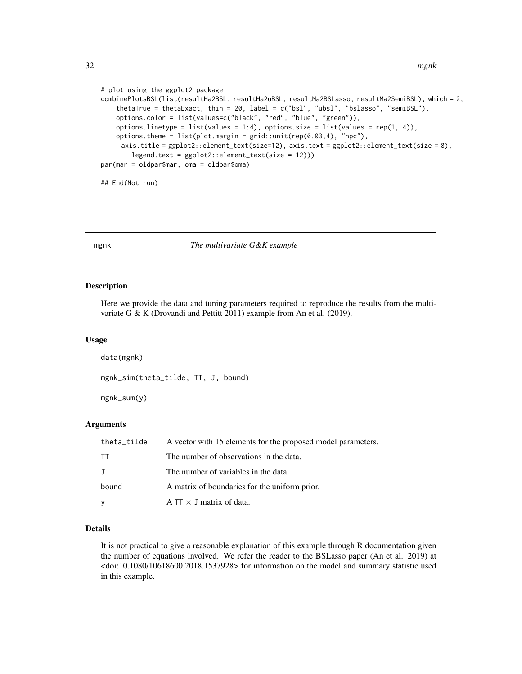<span id="page-31-0"></span>32 mgnk

```
# plot using the ggplot2 package
combinePlotsBSL(list(resultMa2BSL, resultMa2uBSL, resultMa2BSLasso, resultMa2SemiBSL), which = 2,
    thetaTrue = thetaExact, thin = 20, label = c("bsl", "ubsl", "bslasso", "semiBSL"),
    options.color = list(values=c("black", "red", "blue", "green")),
   options.linetype = list(values = 1:4), options.size = list(values = rep(1, 4)),
   options.theme = list(plot.margin = grid::unit(rep(0.03,4), "npc"),
     axis.title = ggplot2::element_text(size=12), axis.text = ggplot2::element_text(size = 8),
       legend.text = ggplot2::element_text(size = 12)))
par(mar = oldpar$mar, oma = oldpar$oma)
## End(Not run)
```
#### <span id="page-31-1"></span>mgnk *The multivariate G&K example*

# Description

Here we provide the data and tuning parameters required to reproduce the results from the multivariate G & K (Drovandi and Pettitt 2011) example from An et al. (2019).

#### Usage

```
data(mgnk)
mgnk_sim(theta_tilde, TT, J, bound)
mgnk_sum(y)
```
#### Arguments

| theta_tilde  | A vector with 15 elements for the proposed model parameters. |  |
|--------------|--------------------------------------------------------------|--|
| TT           | The number of observations in the data.                      |  |
| $\mathbf{J}$ | The number of variables in the data.                         |  |
| bound        | A matrix of boundaries for the uniform prior.                |  |
| y            | A TT $\times$ J matrix of data.                              |  |

# Details

It is not practical to give a reasonable explanation of this example through R documentation given the number of equations involved. We refer the reader to the BSLasso paper (An et al. 2019) at <doi:10.1080/10618600.2018.1537928> for information on the model and summary statistic used in this example.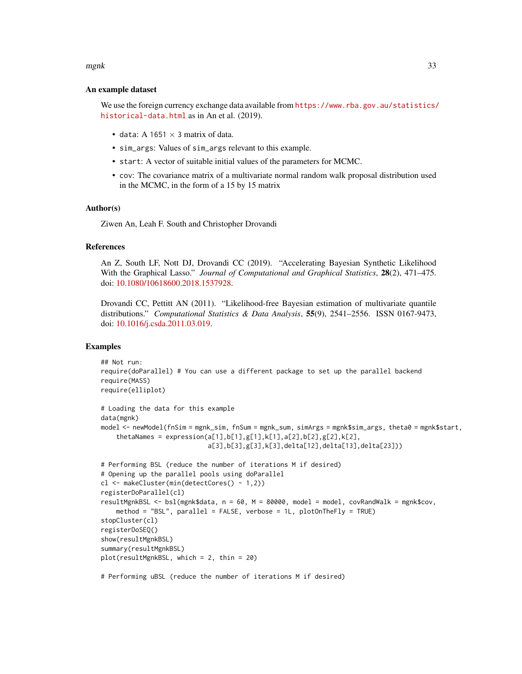#### $mgnk$  33

#### An example dataset

We use the foreign currency exchange data available from [https://www.rba.gov.au/statistics/](https://www.rba.gov.au/statistics/historical-data.html) [historical-data.html](https://www.rba.gov.au/statistics/historical-data.html) as in An et al. (2019).

- data: A 1651  $\times$  3 matrix of data.
- sim\_args: Values of sim\_args relevant to this example.
- start: A vector of suitable initial values of the parameters for MCMC.
- cov: The covariance matrix of a multivariate normal random walk proposal distribution used in the MCMC, in the form of a 15 by 15 matrix

#### Author(s)

Ziwen An, Leah F. South and Christopher Drovandi

#### References

An Z, South LF, Nott DJ, Drovandi CC (2019). "Accelerating Bayesian Synthetic Likelihood With the Graphical Lasso." *Journal of Computational and Graphical Statistics*, 28(2), 471–475. doi: [10.1080/10618600.2018.1537928.](https://doi.org/10.1080/10618600.2018.1537928)

Drovandi CC, Pettitt AN (2011). "Likelihood-free Bayesian estimation of multivariate quantile distributions." *Computational Statistics & Data Analysis*, 55(9), 2541–2556. ISSN 0167-9473, doi: [10.1016/j.csda.2011.03.019.](https://doi.org/10.1016/j.csda.2011.03.019)

#### Examples

```
## Not run:
require(doParallel) # You can use a different package to set up the parallel backend
require(MASS)
require(elliplot)
# Loading the data for this example
data(mgnk)
model <- newModel(fnSim = mgnk_sim, fnSum = mgnk_sum, simArgs = mgnk$sim_args, theta0 = mgnk$start,
    thetaames = expression(a[1],b[1],g[1],k[1],a[2],b[2],g[2],k[2],
                            a[3],b[3],g[3],k[3],delta[12],delta[13],delta[23]))
# Performing BSL (reduce the number of iterations M if desired)
# Opening up the parallel pools using doParallel
cl <- makeCluster(min(detectCores() - 1,2))
registerDoParallel(cl)
resultMgnkBSL <- bsl(mgnk$data, n = 60, M = 80000, model = model, covRandWalk = mgnk$cov,
    method = "BSL", parallel = FALSE, verbose = 1L, plotOnTheFly = TRUE)
stopCluster(cl)
registerDoSEQ()
show(resultMgnkBSL)
summary(resultMgnkBSL)
plot(resultMgnkBSL, which = 2, thin = 20)
# Performing uBSL (reduce the number of iterations M if desired)
```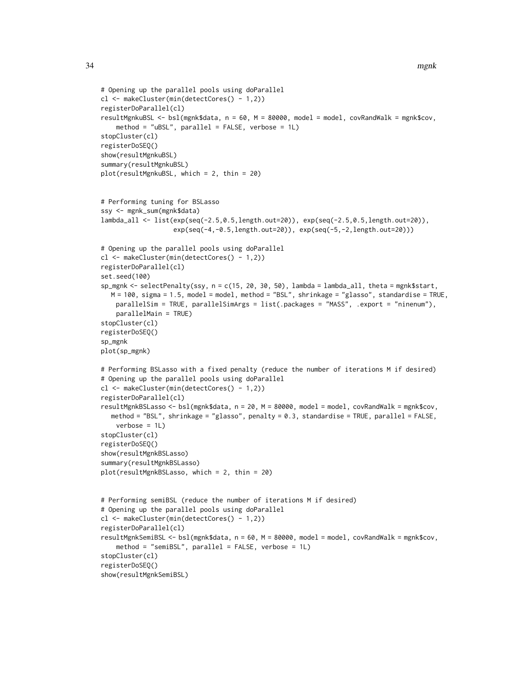```
# Opening up the parallel pools using doParallel
cl <- makeCluster(min(detectCores() - 1,2))
registerDoParallel(cl)
resultMgnkuBSL <- bsl(mgnk$data, n = 60, M = 80000, model = model, covRandWalk = mgnk$cov,
    method = "uBSL", parallel = FALSE, verbose = 1L)
stopCluster(cl)
registerDoSEQ()
show(resultMgnkuBSL)
summary(resultMgnkuBSL)
plot(resultMgnkuBSL, which = 2, thin = 20)
# Performing tuning for BSLasso
ssy <- mgnk_sum(mgnk$data)
lambda_all <- list(exp(seq(-2.5,0.5,length.out=20)), exp(seq(-2.5,0.5,length.out=20)),
                   exp(seq(-4,-0.5,length.out=20)), exp(seq(-5,-2,length.out=20)))
# Opening up the parallel pools using doParallel
cl <- makeCluster(min(detectCores() - 1,2))
registerDoParallel(cl)
set.seed(100)
sp_mgnk <- selectPenalty(ssy, n = c(15, 20, 30, 50), lambda = lambda_all, theta = mgnk$start,
  M = 100, sigma = 1.5, model = model, method = "BSL", shrinkage = "glasso", standardise = TRUE,
   parallelSim = TRUE, parallelSimArgs = list(.packages = "MASS", .export = "ninenum"),
    parallelMain = TRUE)
stopCluster(cl)
registerDoSEQ()
sp_mgnk
plot(sp_mgnk)
# Performing BSLasso with a fixed penalty (reduce the number of iterations M if desired)
# Opening up the parallel pools using doParallel
cl <- makeCluster(min(detectCores() - 1,2))
registerDoParallel(cl)
resultMgnkBSLasso <- bsl(mgnk$data, n = 20, M = 80000, model = model, covRandWalk = mgnk$cov,
  method = "BSL", shrinkage = "glasso", penalty = 0.3, standardise = TRUE, parallel = FALSE,
    verbose = 1L)stopCluster(cl)
registerDoSEQ()
show(resultMgnkBSLasso)
summary(resultMgnkBSLasso)
plot(resultMgnkBSLasso, which = 2, thin = 20)
# Performing semiBSL (reduce the number of iterations M if desired)
# Opening up the parallel pools using doParallel
cl <- makeCluster(min(detectCores() - 1,2))
registerDoParallel(cl)
resultMgnkSemiBSL <- bsl(mgnk$data, n = 60, M = 80000, model = model, covRandWalk = mgnk$cov,
    method = "semiBSL", parallel = FALSE, verbose = 1L)
stopCluster(cl)
registerDoSEQ()
show(resultMgnkSemiBSL)
```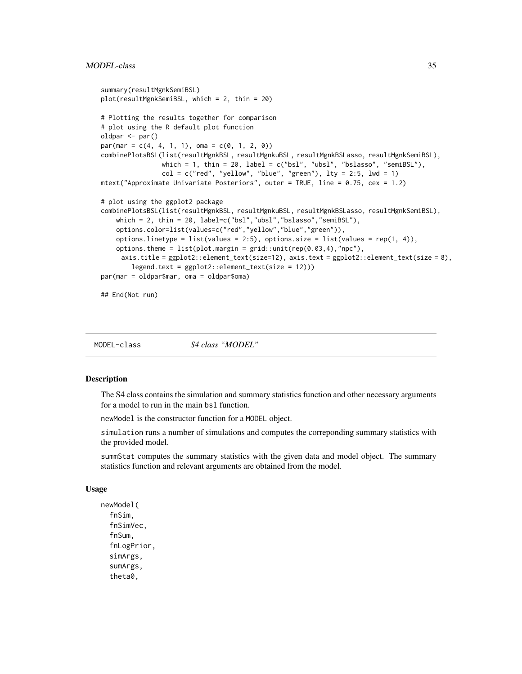# <span id="page-34-0"></span>MODEL-class 35

```
summary(resultMgnkSemiBSL)
plot(resultMgnkSemiBSL, which = 2, thin = 20)
# Plotting the results together for comparison
# plot using the R default plot function
oldpar <- par()
par(max = c(4, 4, 1, 1), oma = c(0, 1, 2, 0))combinePlotsBSL(list(resultMgnkBSL, resultMgnkuBSL, resultMgnkBSLasso, resultMgnkSemiBSL),
                which = 1, thin = 20, label = c("bs1", "ubs1", "bslasso", "semiBSL"),col = c("red", "yellow", "blue", "green"), \; lty = 2:5, \; lwd = 1)mtext("Approximate Univariate Posteriors", outer = TRUE, line = 0.75, cex = 1.2)
# plot using the ggplot2 package
combinePlotsBSL(list(resultMgnkBSL, resultMgnkuBSL, resultMgnkBSLasso, resultMgnkSemiBSL),
    which = 2, thin = 20, label=c("bsl","ubsl","bslasso","semiBSL"),
    options.color=list(values=c("red","yellow","blue","green")),
    options.linetype = list(values = 2:5), options.size = list(values = rep(1, 4)),
    options.theme = list(plot.margin = grid::unit(rep(0.03,4), "npc"),axis.title = ggplot2::element_text(size=12), axis.text = ggplot2::element_text(size = 8),
        legend.text = ggplot2::element_text(size = 12)))
par(mar = oldpar$mar, oma = oldpar$oma)
## End(Not run)
```
MODEL-class *S4 class "MODEL"*

# <span id="page-34-1"></span>Description

The S4 class contains the simulation and summary statistics function and other necessary arguments for a model to run in the main bsl function.

newModel is the constructor function for a MODEL object.

simulation runs a number of simulations and computes the correponding summary statistics with the provided model.

summStat computes the summary statistics with the given data and model object. The summary statistics function and relevant arguments are obtained from the model.

#### Usage

```
newModel(
  fnSim,
  fnSimVec,
  fnSum,
  fnLogPrior,
  simArgs,
  sumArgs,
  theta0,
```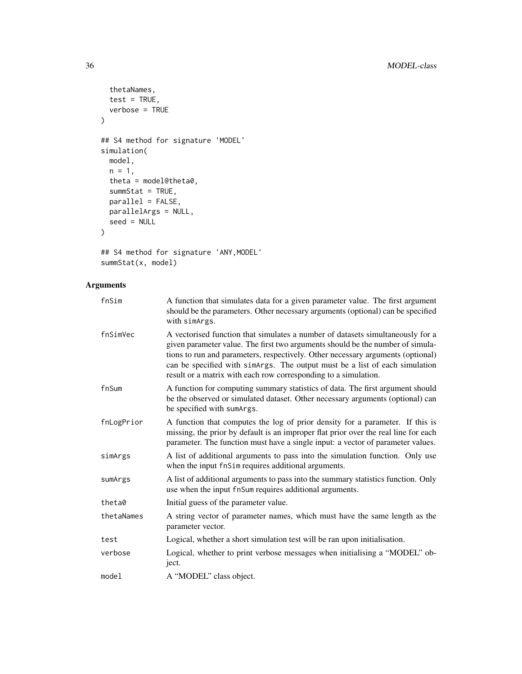```
thetaNames,
  test = TRUE,verbose = TRUE
\mathcal{L}## S4 method for signature 'MODEL'
simulation(
  model,
  n = 1,
  theta = model@theta0,
  summStat = TRUE,
  parallel = FALSE,
  parallelArgs = NULL,
  seed = NULL
\mathcal{L}
```

```
## S4 method for signature 'ANY,MODEL'
summStat(x, model)
```
# Arguments

| fnSim      | A function that simulates data for a given parameter value. The first argument<br>should be the parameters. Other necessary arguments (optional) can be specified<br>with simArgs.                                                                                                                                                                                                                    |
|------------|-------------------------------------------------------------------------------------------------------------------------------------------------------------------------------------------------------------------------------------------------------------------------------------------------------------------------------------------------------------------------------------------------------|
| fnSimVec   | A vectorised function that simulates a number of datasets simultaneously for a<br>given parameter value. The first two arguments should be the number of simula-<br>tions to run and parameters, respectively. Other necessary arguments (optional)<br>can be specified with simArgs. The output must be a list of each simulation<br>result or a matrix with each row corresponding to a simulation. |
| fnSum      | A function for computing summary statistics of data. The first argument should<br>be the observed or simulated dataset. Other necessary arguments (optional) can<br>be specified with sumArgs.                                                                                                                                                                                                        |
| fnLogPrior | A function that computes the log of prior density for a parameter. If this is<br>missing, the prior by default is an improper flat prior over the real line for each<br>parameter. The function must have a single input: a vector of parameter values.                                                                                                                                               |
| simArgs    | A list of additional arguments to pass into the simulation function. Only use<br>when the input fnSim requires additional arguments.                                                                                                                                                                                                                                                                  |
| sumArgs    | A list of additional arguments to pass into the summary statistics function. Only<br>use when the input fnSum requires additional arguments.                                                                                                                                                                                                                                                          |
| theta0     | Initial guess of the parameter value.                                                                                                                                                                                                                                                                                                                                                                 |
| thetaNames | A string vector of parameter names, which must have the same length as the<br>parameter vector.                                                                                                                                                                                                                                                                                                       |
| test       | Logical, whether a short simulation test will be ran upon initialisation.                                                                                                                                                                                                                                                                                                                             |
| verbose    | Logical, whether to print verbose messages when initialising a "MODEL" ob-<br>ject.                                                                                                                                                                                                                                                                                                                   |
| model      | A "MODEL" class object.                                                                                                                                                                                                                                                                                                                                                                               |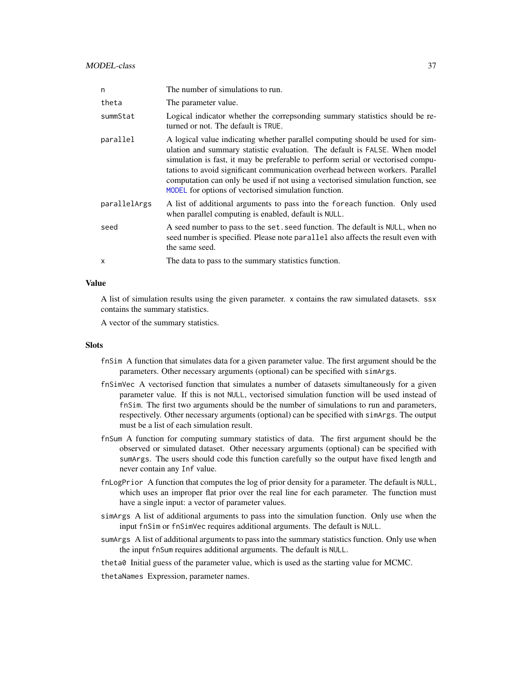<span id="page-36-0"></span>

| n            | The number of simulations to run.                                                                                                                                                                                                                                                                                                                                                                                                                                          |
|--------------|----------------------------------------------------------------------------------------------------------------------------------------------------------------------------------------------------------------------------------------------------------------------------------------------------------------------------------------------------------------------------------------------------------------------------------------------------------------------------|
| theta        | The parameter value.                                                                                                                                                                                                                                                                                                                                                                                                                                                       |
| summStat     | Logical indicator whether the correpsonding summary statistics should be re-<br>turned or not. The default is TRUE.                                                                                                                                                                                                                                                                                                                                                        |
| parallel     | A logical value indicating whether parallel computing should be used for sim-<br>ulation and summary statistic evaluation. The default is FALSE. When model<br>simulation is fast, it may be preferable to perform serial or vectorised compu-<br>tations to avoid significant communication overhead between workers. Parallel<br>computation can only be used if not using a vectorised simulation function, see<br>MODEL for options of vectorised simulation function. |
| parallelArgs | A list of additional arguments to pass into the foreach function. Only used<br>when parallel computing is enabled, default is NULL.                                                                                                                                                                                                                                                                                                                                        |
| seed         | A seed number to pass to the set, seed function. The default is NULL, when no<br>seed number is specified. Please note parallel also affects the result even with<br>the same seed.                                                                                                                                                                                                                                                                                        |
| X            | The data to pass to the summary statistics function.                                                                                                                                                                                                                                                                                                                                                                                                                       |

# Value

A list of simulation results using the given parameter. x contains the raw simulated datasets. ssx contains the summary statistics.

A vector of the summary statistics.

#### **Slots**

- fnSim A function that simulates data for a given parameter value. The first argument should be the parameters. Other necessary arguments (optional) can be specified with simArgs.
- fnSimVec A vectorised function that simulates a number of datasets simultaneously for a given parameter value. If this is not NULL, vectorised simulation function will be used instead of fnSim. The first two arguments should be the number of simulations to run and parameters, respectively. Other necessary arguments (optional) can be specified with simArgs. The output must be a list of each simulation result.
- fnSum A function for computing summary statistics of data. The first argument should be the observed or simulated dataset. Other necessary arguments (optional) can be specified with sumArgs. The users should code this function carefully so the output have fixed length and never contain any Inf value.
- fnLogPrior A function that computes the log of prior density for a parameter. The default is NULL, which uses an improper flat prior over the real line for each parameter. The function must have a single input: a vector of parameter values.
- simArgs A list of additional arguments to pass into the simulation function. Only use when the input fnSim or fnSimVec requires additional arguments. The default is NULL.
- sumArgs A list of additional arguments to pass into the summary statistics function. Only use when the input fnSum requires additional arguments. The default is NULL.

theta0 Initial guess of the parameter value, which is used as the starting value for MCMC.

thetaNames Expression, parameter names.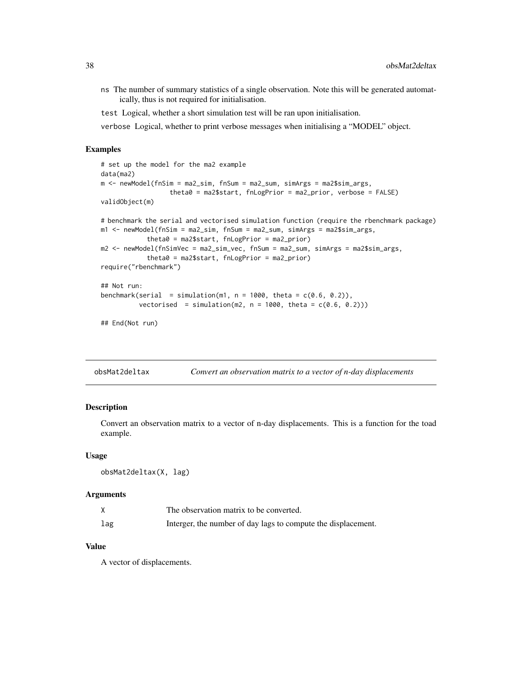<span id="page-37-0"></span>ns The number of summary statistics of a single observation. Note this will be generated automatically, thus is not required for initialisation.

test Logical, whether a short simulation test will be ran upon initialisation.

verbose Logical, whether to print verbose messages when initialising a "MODEL" object.

# Examples

```
# set up the model for the ma2 example
data(ma2)
m <- newModel(fnSim = ma2_sim, fnSum = ma2_sum, simArgs = ma2$sim_args,
                  theta0 = ma2$start, fnLogPrior = ma2_prior, verbose = FALSE)
validObject(m)
# benchmark the serial and vectorised simulation function (require the rbenchmark package)
m1 <- newModel(fnSim = ma2_sim, fnSum = ma2_sum, simArgs = ma2$sim_args,
            theta0 = ma2$start, fnLogPrior = ma2_prior)
m2 <- newModel(fnSimVec = ma2_sim_vec, fnSum = ma2_sum, simArgs = ma2$sim_args,
            theta0 = ma2$start, fnLogPrior = ma2_prior)
require("rbenchmark")
## Not run:
benchmark(serial = simulation(m1, n = 1000, theta = c(0.6, 0.2)),
          vectorised = simulation(m2, n = 1000, theta = c(0.6, 0.2)))
## End(Not run)
```
obsMat2deltax *Convert an observation matrix to a vector of n-day displacements*

# **Description**

Convert an observation matrix to a vector of n-day displacements. This is a function for the toad example.

#### Usage

```
obsMat2deltax(X, lag)
```
#### Arguments

|     | The observation matrix to be converted.                       |
|-----|---------------------------------------------------------------|
| lag | Interger, the number of day lags to compute the displacement. |

# Value

A vector of displacements.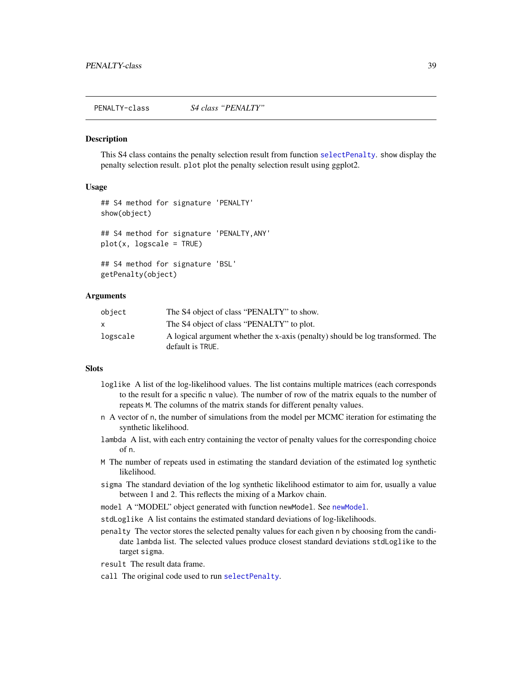<span id="page-38-0"></span>PENALTY-class *S4 class "PENALTY"*

#### <span id="page-38-1"></span>**Description**

This S4 class contains the penalty selection result from function [selectPenalty](#page-39-1). show display the penalty selection result. plot plot the penalty selection result using ggplot2.

# Usage

```
## S4 method for signature 'PENALTY'
show(object)
## S4 method for signature 'PENALTY,ANY'
plot(x, logscale = TRUE)
## S4 method for signature 'BSL'
getPenalty(object)
```
#### Arguments

| object   | The S4 object of class "PENALTY" to show.                                      |
|----------|--------------------------------------------------------------------------------|
|          | The S4 object of class "PENALTY" to plot.                                      |
| logscale | A logical argument whether the x-axis (penalty) should be log transformed. The |
|          | default is TRUE.                                                               |

#### **Slots**

- loglike A list of the log-likelihood values. The list contains multiple matrices (each corresponds to the result for a specific n value). The number of row of the matrix equals to the number of repeats M. The columns of the matrix stands for different penalty values.
- n A vector of n, the number of simulations from the model per MCMC iteration for estimating the synthetic likelihood.
- lambda A list, with each entry containing the vector of penalty values for the corresponding choice of n.
- M The number of repeats used in estimating the standard deviation of the estimated log synthetic likelihood.
- sigma The standard deviation of the log synthetic likelihood estimator to aim for, usually a value between 1 and 2. This reflects the mixing of a Markov chain.
- model A "MODEL" object generated with function [newModel](#page-34-1). See newModel.
- stdLoglike A list contains the estimated standard deviations of log-likelihoods.
- penalty The vector stores the selected penalty values for each given n by choosing from the candidate lambda list. The selected values produce closest standard deviations stdLoglike to the target sigma.
- result The result data frame.
- call The original code used to run [selectPenalty](#page-39-1).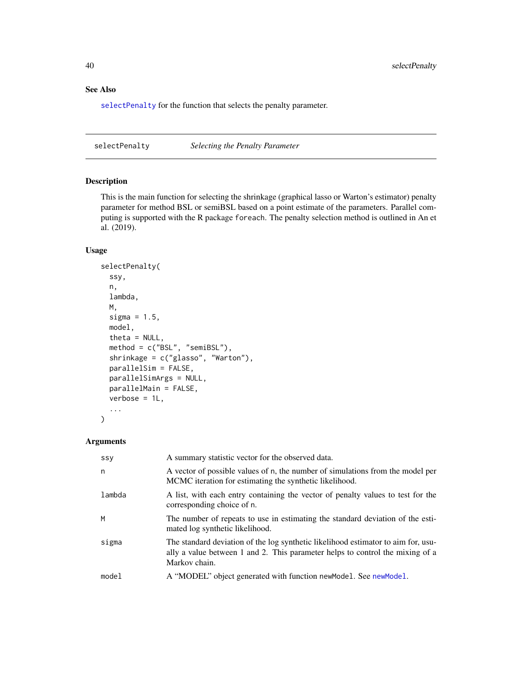# See Also

[selectPenalty](#page-39-1) for the function that selects the penalty parameter.

<span id="page-39-1"></span>selectPenalty *Selecting the Penalty Parameter*

# Description

This is the main function for selecting the shrinkage (graphical lasso or Warton's estimator) penalty parameter for method BSL or semiBSL based on a point estimate of the parameters. Parallel computing is supported with the R package foreach. The penalty selection method is outlined in An et al. (2019).

# Usage

```
selectPenalty(
  ssy,
  n,
 lambda,
 M,
  sigma = 1.5,
 model,
  theta = NULL,
 method = c("BSL", "semiBSL"),
  shrinkage = c("glasso", "Warton"),
  parallelSim = FALSE,
 parallelSimArgs = NULL,
 parallelMain = FALSE,
  verbose = 1L,
  ...
)
```
# Arguments

| SSY    | A summary statistic vector for the observed data.                                                                                                                                   |
|--------|-------------------------------------------------------------------------------------------------------------------------------------------------------------------------------------|
| n      | A vector of possible values of n, the number of simulations from the model per<br>MCMC iteration for estimating the synthetic likelihood.                                           |
| lambda | A list, with each entry containing the vector of penalty values to test for the<br>corresponding choice of n.                                                                       |
| M      | The number of repeats to use in estimating the standard deviation of the esti-<br>mated log synthetic likelihood.                                                                   |
| sigma  | The standard deviation of the log synthetic likelihood estimator to aim for, usu-<br>ally a value between 1 and 2. This parameter helps to control the mixing of a<br>Markov chain. |
| model  | A "MODEL" object generated with function new Model. See new Model.                                                                                                                  |

<span id="page-39-0"></span>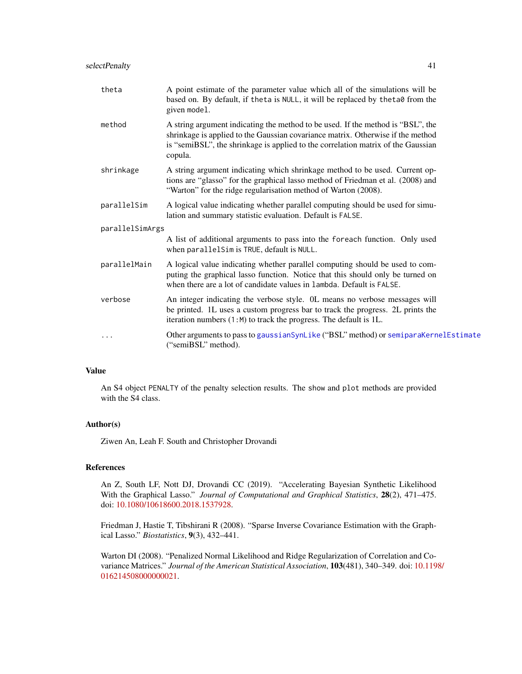<span id="page-40-0"></span>

| theta           | A point estimate of the parameter value which all of the simulations will be<br>based on. By default, if theta is NULL, it will be replaced by theta0 from the<br>given model.                                                                                    |  |
|-----------------|-------------------------------------------------------------------------------------------------------------------------------------------------------------------------------------------------------------------------------------------------------------------|--|
| method          | A string argument indicating the method to be used. If the method is "BSL", the<br>shrinkage is applied to the Gaussian covariance matrix. Otherwise if the method<br>is "semiBSL", the shrinkage is applied to the correlation matrix of the Gaussian<br>copula. |  |
| shrinkage       | A string argument indicating which shrinkage method to be used. Current op-<br>tions are "glasso" for the graphical lasso method of Friedman et al. (2008) and<br>"Warton" for the ridge regularisation method of Warton (2008).                                  |  |
| parallelSim     | A logical value indicating whether parallel computing should be used for simu-<br>lation and summary statistic evaluation. Default is FALSE.                                                                                                                      |  |
| parallelSimArgs |                                                                                                                                                                                                                                                                   |  |
|                 | A list of additional arguments to pass into the foreach function. Only used<br>when parallelSim is TRUE, default is NULL.                                                                                                                                         |  |
| parallelMain    | A logical value indicating whether parallel computing should be used to com-<br>puting the graphical lasso function. Notice that this should only be turned on<br>when there are a lot of candidate values in lambda. Default is FALSE.                           |  |
| verbose         | An integer indicating the verbose style. OL means no verbose messages will<br>be printed. 1L uses a custom progress bar to track the progress. 2L prints the<br>iteration numbers (1:M) to track the progress. The default is 1L.                                 |  |
|                 | Other arguments to pass to gaussian SynLike ("BSL" method) or semiparaKernelEstimate<br>("semiBSL" method).                                                                                                                                                       |  |
|                 |                                                                                                                                                                                                                                                                   |  |

# Value

An S4 object PENALTY of the penalty selection results. The show and plot methods are provided with the S4 class.

#### Author(s)

Ziwen An, Leah F. South and Christopher Drovandi

# References

An Z, South LF, Nott DJ, Drovandi CC (2019). "Accelerating Bayesian Synthetic Likelihood With the Graphical Lasso." *Journal of Computational and Graphical Statistics*, 28(2), 471–475. doi: [10.1080/10618600.2018.1537928.](https://doi.org/10.1080/10618600.2018.1537928)

Friedman J, Hastie T, Tibshirani R (2008). "Sparse Inverse Covariance Estimation with the Graphical Lasso." *Biostatistics*, 9(3), 432–441.

Warton DI (2008). "Penalized Normal Likelihood and Ridge Regularization of Correlation and Covariance Matrices." *Journal of the American Statistical Association*, 103(481), 340–349. doi: [10.119](https://doi.org/10.1198/016214508000000021)8/ [016214508000000021.](https://doi.org/10.1198/016214508000000021)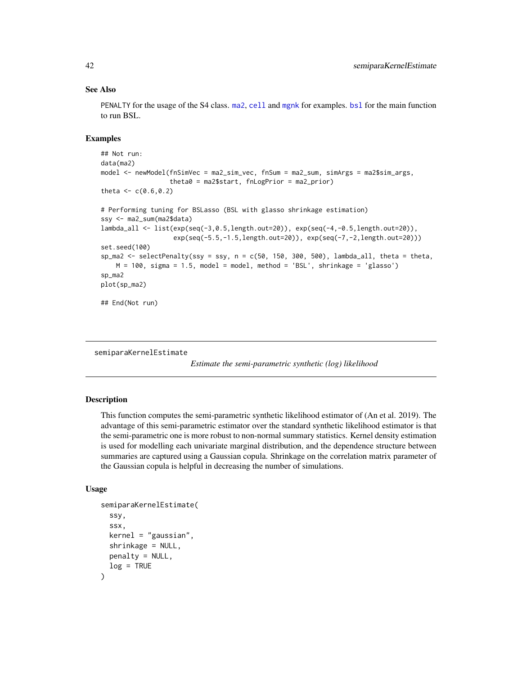#### See Also

PENALTY for the usage of the S4 class. [ma2](#page-27-1), [cell](#page-10-1) and [mgnk](#page-31-1) for examples. [bsl](#page-4-1) for the main function to run BSL.

# Examples

```
## Not run:
data(ma2)
model <- newModel(fnSimVec = ma2_sim_vec, fnSum = ma2_sum, simArgs = ma2$sim_args,
                  theta0 = ma2$start, fnLogPrior = ma2_prior)
theta <-c(0.6, 0.2)# Performing tuning for BSLasso (BSL with glasso shrinkage estimation)
ssy <- ma2_sum(ma2$data)
lambda_all <- list(exp(seq(-3,0.5,length.out=20)), exp(seq(-4,-0.5,length.out=20)),
                   exp(seq(-5.5,-1.5,length.out=20)), exp(seq(-7,-2,length.out=20)))
set.seed(100)
sp_ma2 <- selectPenalty(ssy = ssy, n = c(50, 150, 300, 500), lambda_all, theta = theta,
   M = 100, sigma = 1.5, model = model, method = 'BSL', shrinkage = 'glasso')
sp_ma2
plot(sp_ma2)
## End(Not run)
```
<span id="page-41-1"></span>semiparaKernelEstimate

*Estimate the semi-parametric synthetic (log) likelihood*

# Description

This function computes the semi-parametric synthetic likelihood estimator of (An et al. 2019). The advantage of this semi-parametric estimator over the standard synthetic likelihood estimator is that the semi-parametric one is more robust to non-normal summary statistics. Kernel density estimation is used for modelling each univariate marginal distribution, and the dependence structure between summaries are captured using a Gaussian copula. Shrinkage on the correlation matrix parameter of the Gaussian copula is helpful in decreasing the number of simulations.

#### Usage

```
semiparaKernelEstimate(
  ssy,
  ssx,
  kernel = "gaussian",
  shrinkage = NULL,
  penalty = NULL,
  log = TRUE)
```
<span id="page-41-0"></span>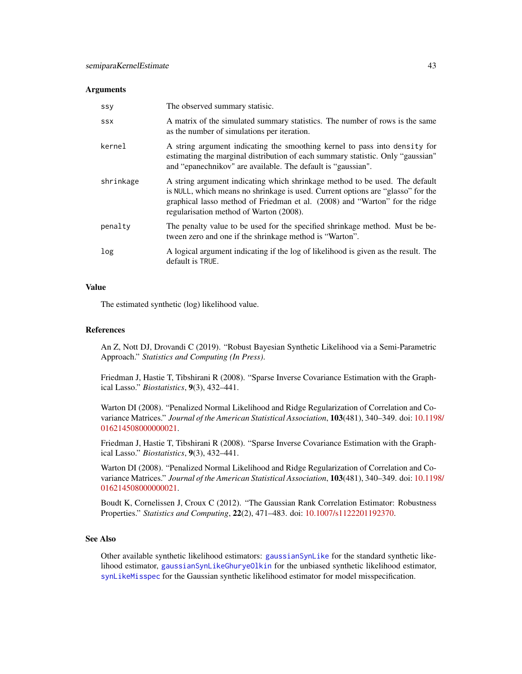#### <span id="page-42-0"></span>**Arguments**

| SSY        | The observed summary statisic.                                                                                                                                                                                                                                                           |
|------------|------------------------------------------------------------------------------------------------------------------------------------------------------------------------------------------------------------------------------------------------------------------------------------------|
| <b>SSX</b> | A matrix of the simulated summary statistics. The number of rows is the same<br>as the number of simulations per iteration.                                                                                                                                                              |
| kernel     | A string argument indicating the smoothing kernel to pass into density for<br>estimating the marginal distribution of each summary statistic. Only "gaussian"<br>and "epanechnikov" are available. The default is "gaussian".                                                            |
| shrinkage  | A string argument indicating which shrinkage method to be used. The default<br>is NULL, which means no shrinkage is used. Current options are "glasso" for the<br>graphical lasso method of Friedman et al. (2008) and "Warton" for the ridge<br>regularisation method of Warton (2008). |
| penalty    | The penalty value to be used for the specified shrinkage method. Must be be-<br>tween zero and one if the shrinkage method is "Warton".                                                                                                                                                  |
| log        | A logical argument indicating if the log of likelihood is given as the result. The<br>default is TRUE.                                                                                                                                                                                   |

#### Value

The estimated synthetic (log) likelihood value.

#### References

An Z, Nott DJ, Drovandi C (2019). "Robust Bayesian Synthetic Likelihood via a Semi-Parametric Approach." *Statistics and Computing (In Press)*.

Friedman J, Hastie T, Tibshirani R (2008). "Sparse Inverse Covariance Estimation with the Graphical Lasso." *Biostatistics*, 9(3), 432–441.

Warton DI (2008). "Penalized Normal Likelihood and Ridge Regularization of Correlation and Covariance Matrices." *Journal of the American Statistical Association*, 103(481), 340–349. doi: [10.119](https://doi.org/10.1198/016214508000000021)8/ [016214508000000021.](https://doi.org/10.1198/016214508000000021)

Friedman J, Hastie T, Tibshirani R (2008). "Sparse Inverse Covariance Estimation with the Graphical Lasso." *Biostatistics*, 9(3), 432–441.

Warton DI (2008). "Penalized Normal Likelihood and Ridge Regularization of Correlation and Covariance Matrices." *Journal of the American Statistical Association*, 103(481), 340–349. doi: [10.119](https://doi.org/10.1198/016214508000000021)8/ [016214508000000021.](https://doi.org/10.1198/016214508000000021)

Boudt K, Cornelissen J, Croux C (2012). "The Gaussian Rank Correlation Estimator: Robustness Properties." *Statistics and Computing*, 22(2), 471–483. doi: [10.1007/s1122201192370.](https://doi.org/10.1007/s11222-011-9237-0)

#### See Also

Other available synthetic likelihood estimators: [gaussianSynLike](#page-22-1) for the standard synthetic likelihood estimator, [gaussianSynLikeGhuryeOlkin](#page-24-1) for the unbiased synthetic likelihood estimator, [synLikeMisspec](#page-45-1) for the Gaussian synthetic likelihood estimator for model misspecification.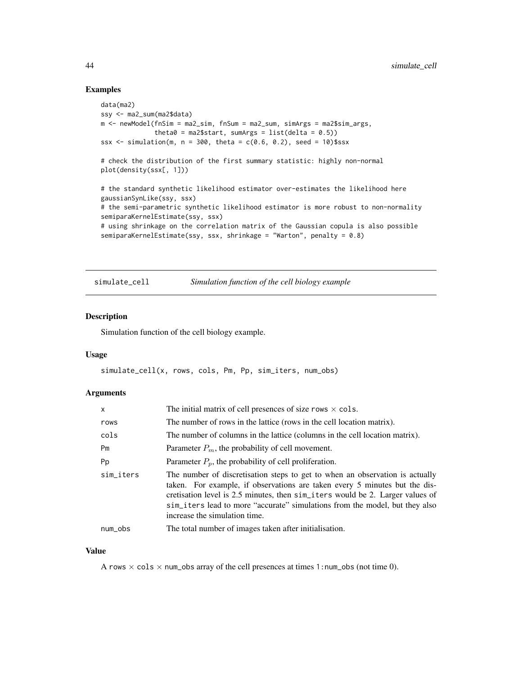# Examples

```
data(ma2)
ssy <- ma2_sum(ma2$data)
m <- newModel(fnSim = ma2_sim, fnSum = ma2_sum, simArgs = ma2$sim_args,
              theta0 = ma2$start, sumArgs = list(delta = 0.5))
ssx \le simulation(m, n = 300, theta = c(0.6, 0.2), seed = 10)$ssx
# check the distribution of the first summary statistic: highly non-normal
plot(density(ssx[, 1]))
# the standard synthetic likelihood estimator over-estimates the likelihood here
gaussianSynLike(ssy, ssx)
# the semi-parametric synthetic likelihood estimator is more robust to non-normality
semiparaKernelEstimate(ssy, ssx)
# using shrinkage on the correlation matrix of the Gaussian copula is also possible
semiparaKernelEstimate(ssy, ssx, shrinkage = "Warton", penalty = 0.8)
```

```
simulate_cell Simulation function of the cell biology example
```
#### Description

Simulation function of the cell biology example.

#### Usage

simulate\_cell(x, rows, cols, Pm, Pp, sim\_iters, num\_obs)

# Arguments

| X         | The initial matrix of cell presences of size rows $\times$ cols.                                                                                                                                                                                                                                                                                              |  |
|-----------|---------------------------------------------------------------------------------------------------------------------------------------------------------------------------------------------------------------------------------------------------------------------------------------------------------------------------------------------------------------|--|
| rows      | The number of rows in the lattice (rows in the cell location matrix).                                                                                                                                                                                                                                                                                         |  |
| cols      | The number of columns in the lattice (columns in the cell location matrix).                                                                                                                                                                                                                                                                                   |  |
| Pm        | Parameter $P_m$ , the probability of cell movement.                                                                                                                                                                                                                                                                                                           |  |
| Pp        | Parameter $P_p$ , the probability of cell proliferation.                                                                                                                                                                                                                                                                                                      |  |
| sim_iters | The number of discretisation steps to get to when an observation is actually<br>taken. For example, if observations are taken every 5 minutes but the dis-<br>cretisation level is 2.5 minutes, then sim __iters would be 2. Larger values of<br>sim_iters lead to more "accurate" simulations from the model, but they also<br>increase the simulation time. |  |
| num_obs   | The total number of images taken after initialisation.                                                                                                                                                                                                                                                                                                        |  |

#### Value

A rows  $\times$  cols  $\times$  num\_obs array of the cell presences at times 1:num\_obs (not time 0).

<span id="page-43-0"></span>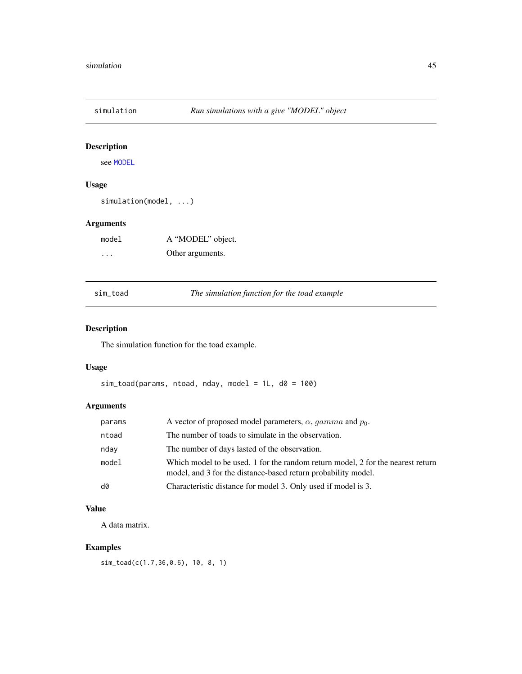<span id="page-44-0"></span>

# Description

see [MODEL](#page-34-1)

# Usage

```
simulation(model, ...)
```
# Arguments

| model | A "MODEL" object. |
|-------|-------------------|
| .     | Other arguments.  |

sim\_toad *The simulation function for the toad example*

# Description

The simulation function for the toad example.

# Usage

```
sim\_toad(params, ntoad, nday, model = 1L, d0 = 100)
```
# Arguments

| params | A vector of proposed model parameters, $\alpha$ , gamma and $p_0$ .                                                                              |
|--------|--------------------------------------------------------------------------------------------------------------------------------------------------|
| ntoad  | The number of toads to simulate in the observation.                                                                                              |
| nday   | The number of days lasted of the observation.                                                                                                    |
| model  | Which model to be used. 1 for the random return model, 2 for the nearest return<br>model, and 3 for the distance-based return probability model. |
| d0     | Characteristic distance for model 3. Only used if model is 3.                                                                                    |

# Value

A data matrix.

# Examples

```
sim_toad(c(1.7,36,0.6), 10, 8, 1)
```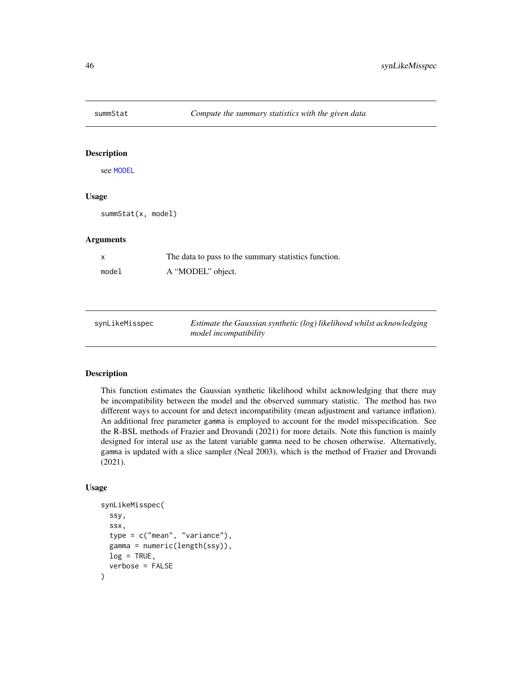<span id="page-45-0"></span>

# Description

see [MODEL](#page-34-1)

### Usage

summStat(x, model)

#### Arguments

| X     | The data to pass to the summary statistics function. |
|-------|------------------------------------------------------|
| model | A "MODEL" object.                                    |

<span id="page-45-1"></span>

| synLikeMisspec | Estimate the Gaussian synthetic (log) likelihood whilst acknowledging |
|----------------|-----------------------------------------------------------------------|
|                | <i>model incompatibility</i>                                          |

# Description

This function estimates the Gaussian synthetic likelihood whilst acknowledging that there may be incompatibility between the model and the observed summary statistic. The method has two different ways to account for and detect incompatibility (mean adjustment and variance inflation). An additional free parameter gamma is employed to account for the model misspecification. See the R-BSL methods of Frazier and Drovandi (2021) for more details. Note this function is mainly designed for interal use as the latent variable gamma need to be chosen otherwise. Alternatively, gamma is updated with a slice sampler (Neal 2003), which is the method of Frazier and Drovandi (2021).

# Usage

```
synLikeMisspec(
  ssy,
  ssx,
  type = c("mean", "variance"),
  gamma = numeric(length(ssy)),
  log = TRUE,verbose = FALSE
)
```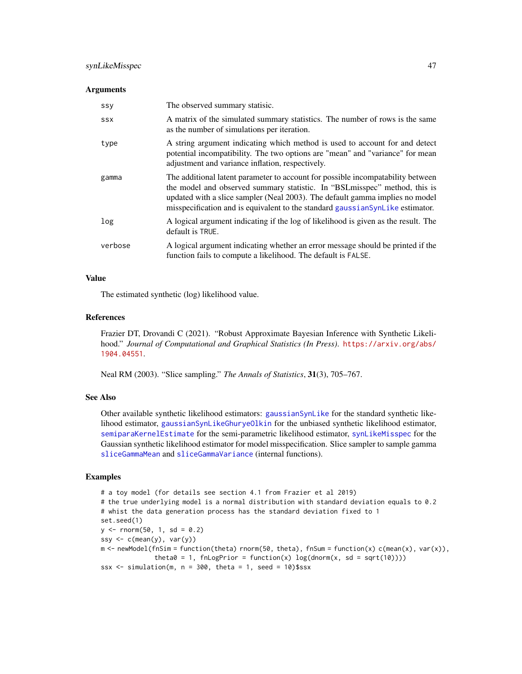# <span id="page-46-0"></span>synLikeMisspec 47

#### **Arguments**

| <b>SSY</b> | The observed summary statisic.                                                                                                                                                                                                                                                                                                  |
|------------|---------------------------------------------------------------------------------------------------------------------------------------------------------------------------------------------------------------------------------------------------------------------------------------------------------------------------------|
| <b>SSX</b> | A matrix of the simulated summary statistics. The number of rows is the same<br>as the number of simulations per iteration.                                                                                                                                                                                                     |
| type       | A string argument indicating which method is used to account for and detect<br>potential incompatibility. The two options are "mean" and "variance" for mean<br>adjustment and variance inflation, respectively.                                                                                                                |
| gamma      | The additional latent parameter to account for possible incompatability between<br>the model and observed summary statistic. In "BSL misspec" method, this is<br>updated with a slice sampler (Neal 2003). The default gamma implies no model<br>misspecification and is equivalent to the standard gaussian SynLike estimator. |
| log        | A logical argument indicating if the log of likelihood is given as the result. The<br>default is TRUE.                                                                                                                                                                                                                          |
| verbose    | A logical argument indicating whether an error message should be printed if the<br>function fails to compute a likelihood. The default is FALSE.                                                                                                                                                                                |

#### Value

The estimated synthetic (log) likelihood value.

# References

Frazier DT, Drovandi C (2021). "Robust Approximate Bayesian Inference with Synthetic Likelihood." *Journal of Computational and Graphical Statistics (In Press)*. [https://arxiv.org/abs/](https://arxiv.org/abs/1904.04551) [1904.04551](https://arxiv.org/abs/1904.04551).

Neal RM (2003). "Slice sampling." *The Annals of Statistics*, 31(3), 705–767.

#### See Also

Other available synthetic likelihood estimators: [gaussianSynLike](#page-22-1) for the standard synthetic likelihood estimator, [gaussianSynLikeGhuryeOlkin](#page-24-1) for the unbiased synthetic likelihood estimator, [semiparaKernelEstimate](#page-41-1) for the semi-parametric likelihood estimator, [synLikeMisspec](#page-45-1) for the Gaussian synthetic likelihood estimator for model misspecification. Slice sampler to sample gamma [sliceGammaMean](#page-0-0) and [sliceGammaVariance](#page-0-0) (internal functions).

# Examples

```
# a toy model (for details see section 4.1 from Frazier et al 2019)
# the true underlying model is a normal distribution with standard deviation equals to 0.2
# whist the data generation process has the standard deviation fixed to 1
set.seed(1)
y \le - rnorm(50, 1, sd = 0.2)
ssy \leq c(mean(y), var(y))
m <- newModel(fnSim = function(theta) rnorm(50, theta), fnSum = function(x) c(mean(x), var(x)),
              theta0 = 1, fnLogPrior = function(x) log(dnorm(x, sd = sqrt(10))))
ssx \le simulation(m, n = 300, theta = 1, seed = 10)$ssx
```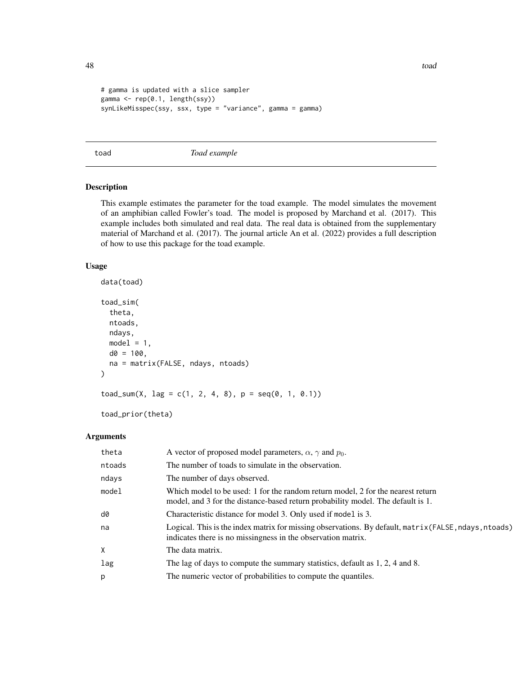```
# gamma is updated with a slice sampler
gamma <- rep(0.1, length(ssy))
synLikeMisspec(ssy, ssx, type = "variance", gamma = gamma)
```
<span id="page-47-1"></span>

toad *Toad example*

# Description

This example estimates the parameter for the toad example. The model simulates the movement of an amphibian called Fowler's toad. The model is proposed by Marchand et al. (2017). This example includes both simulated and real data. The real data is obtained from the supplementary material of Marchand et al. (2017). The journal article An et al. (2022) provides a full description of how to use this package for the toad example.

# Usage

```
data(toad)
toad_sim(
  theta,
  ntoads,
  ndays,
 model = 1,
 d0 = 100,
 na = matrix(FALSE, ndays, ntoads)
)
\text{road\_sum}(X, \text{ lag} = c(1, 2, 4, 8), p = \text{seq}(0, 1, 0.1))
```
toad\_prior(theta)

# Arguments

| A vector of proposed model parameters, $\alpha$ , $\gamma$ and $p_0$ .                                                                                                |
|-----------------------------------------------------------------------------------------------------------------------------------------------------------------------|
|                                                                                                                                                                       |
| The number of toads to simulate in the observation.                                                                                                                   |
| The number of days observed.                                                                                                                                          |
| Which model to be used: 1 for the random return model, 2 for the nearest return<br>model, and 3 for the distance-based return probability model. The default is 1.    |
| Characteristic distance for model 3. Only used if model is 3.                                                                                                         |
| Logical. This is the index matrix for missing observations. By default, matrix (FALSE, ndays, ntoads)<br>indicates there is no missingness in the observation matrix. |
| The data matrix.                                                                                                                                                      |
| The lag of days to compute the summary statistics, default as 1, 2, 4 and 8.                                                                                          |
| The numeric vector of probabilities to compute the quantiles.                                                                                                         |
|                                                                                                                                                                       |

<span id="page-47-0"></span>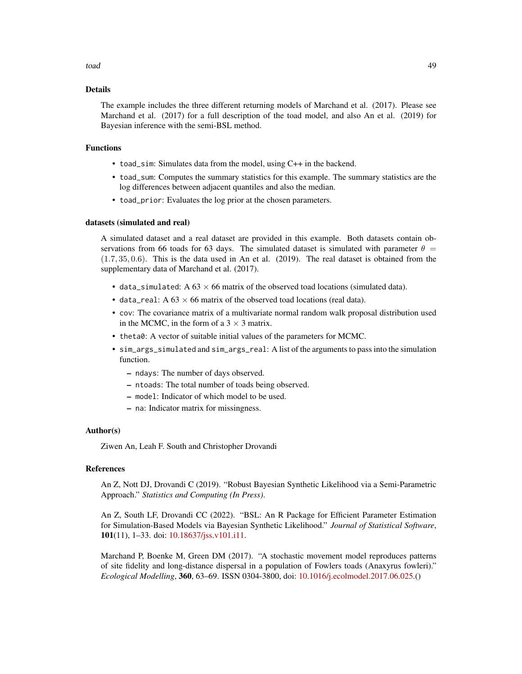#### toad 49

### Details

The example includes the three different returning models of Marchand et al. (2017). Please see Marchand et al. (2017) for a full description of the toad model, and also An et al. (2019) for Bayesian inference with the semi-BSL method.

#### Functions

- toad\_sim: Simulates data from the model, using C++ in the backend.
- toad\_sum: Computes the summary statistics for this example. The summary statistics are the log differences between adjacent quantiles and also the median.
- toad\_prior: Evaluates the log prior at the chosen parameters.

#### datasets (simulated and real)

A simulated dataset and a real dataset are provided in this example. Both datasets contain observations from 66 toads for 63 days. The simulated dataset is simulated with parameter  $\theta =$  $(1.7, 35, 0.6)$ . This is the data used in An et al.  $(2019)$ . The real dataset is obtained from the supplementary data of Marchand et al. (2017).

- data\_simulated: A  $63 \times 66$  matrix of the observed toad locations (simulated data).
- data\_real: A  $63 \times 66$  matrix of the observed toad locations (real data).
- cov: The covariance matrix of a multivariate normal random walk proposal distribution used in the MCMC, in the form of a  $3 \times 3$  matrix.
- theta0: A vector of suitable initial values of the parameters for MCMC.
- sim\_args\_simulated and sim\_args\_real: A list of the arguments to pass into the simulation function.
	- ndays: The number of days observed.
	- ntoads: The total number of toads being observed.
	- model: Indicator of which model to be used.
	- na: Indicator matrix for missingness.

#### Author(s)

Ziwen An, Leah F. South and Christopher Drovandi

# References

An Z, Nott DJ, Drovandi C (2019). "Robust Bayesian Synthetic Likelihood via a Semi-Parametric Approach." *Statistics and Computing (In Press)*.

An Z, South LF, Drovandi CC (2022). "BSL: An R Package for Efficient Parameter Estimation for Simulation-Based Models via Bayesian Synthetic Likelihood." *Journal of Statistical Software*, 101(11), 1–33. doi: [10.18637/jss.v101.i11.](https://doi.org/10.18637/jss.v101.i11)

Marchand P, Boenke M, Green DM (2017). "A stochastic movement model reproduces patterns of site fidelity and long-distance dispersal in a population of Fowlers toads (Anaxyrus fowleri)." *Ecological Modelling*, 360, 63–69. ISSN 0304-3800, doi: [10.1016/j.ecolmodel.2017.06.025.](https://doi.org/10.1016/j.ecolmodel.2017.06.025)()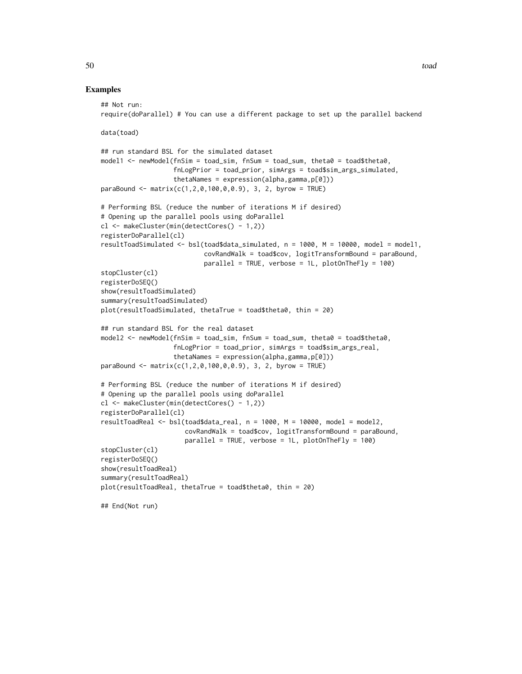#### Examples

```
## Not run:
require(doParallel) # You can use a different package to set up the parallel backend
data(toad)
## run standard BSL for the simulated dataset
model1 <- newModel(fnSim = toad_sim, fnSum = toad_sum, theta0 = toad$theta0,
                   fnLogPrior = toad_prior, simArgs = toad$sim_args_simulated,
                   thetaNames = expression(alpha,gamma,p[0]))
paraBound <- matrix(c(1,2,0,100,0,0.9), 3, 2, byrow = TRUE)
# Performing BSL (reduce the number of iterations M if desired)
# Opening up the parallel pools using doParallel
cl <- makeCluster(min(detectCores() - 1,2))
registerDoParallel(cl)
resultToadSimulated <- bsl(toad$data_simulated, n = 1000, M = 10000, model = model1,
                           covRandWalk = toad$cov, logitTransformBound = paraBound,
                           parallel = TRUE, verbose = 1L, plotOnTheFly = 100)
stopCluster(cl)
registerDoSEQ()
show(resultToadSimulated)
summary(resultToadSimulated)
plot(resultToadSimulated, thetaTrue = toad$theta0, thin = 20)
## run standard BSL for the real dataset
model2 <- newModel(fnSim = toad_sim, fnSum = toad_sum, theta0 = toad$theta0,
                   fnLogPrior = toad_prior, simArgs = toad$sim_args_real,
                   thetaNames = expression(alpha,gamma,p[0]))
parabound \leq matrix(c(1, 2, 0, 100, 0, 0.9), 3, 2, byrow = TRUE)# Performing BSL (reduce the number of iterations M if desired)
# Opening up the parallel pools using doParallel
cl <- makeCluster(min(detectCores() - 1,2))
registerDoParallel(cl)
resultToadReal <- bsl(toad$data_real, n = 1000, M = 10000, model = model2,
                      covRandWalk = toad$cov, logitTransformBound = paraBound,
                      parallel = TRUE, verbose = 1L, plotOnTheFly = 100)
stopCluster(cl)
registerDoSEQ()
show(resultToadReal)
summary(resultToadReal)
plot(resultToadReal, thetaTrue = toad$theta0, thin = 20)
## End(Not run)
```